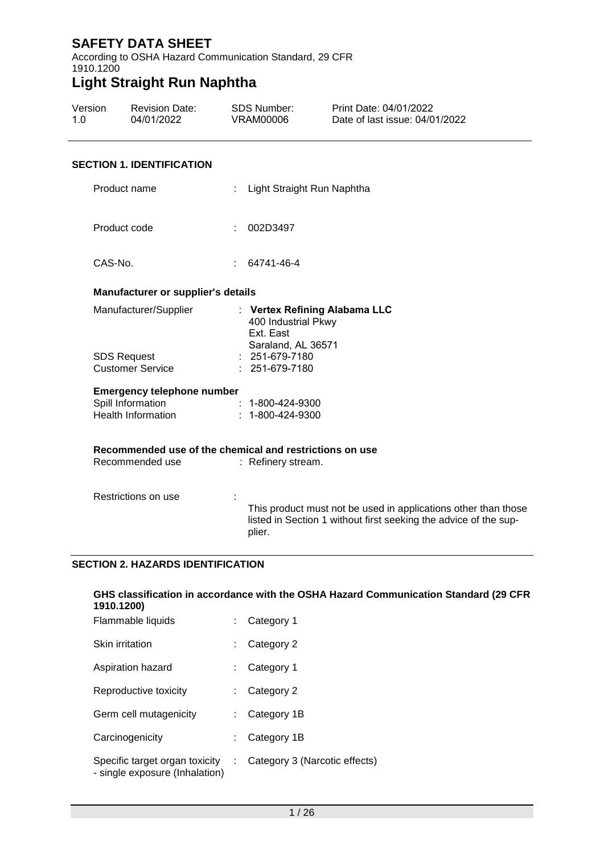According to OSHA Hazard Communication Standard, 29 CFR 1910.1200

# **Light Straight Run Naphtha**

| Version | <b>Revision Date:</b> | SDS Number: | Print Date: 04/01/2022         |
|---------|-----------------------|-------------|--------------------------------|
| 1.O     | 04/01/2022            | VRAM00006   | Date of last issue: 04/01/2022 |

#### **SECTION 1. IDENTIFICATION**

| Product name                                   | Light Straight Run Naphtha                                                                                                                   |
|------------------------------------------------|----------------------------------------------------------------------------------------------------------------------------------------------|
| Product code                                   | 002D3497<br>÷                                                                                                                                |
| CAS-No.                                        | 64741-46-4                                                                                                                                   |
| <b>Manufacturer or supplier's details</b>      |                                                                                                                                              |
| Manufacturer/Supplier                          | : Vertex Refining Alabama LLC<br>400 Industrial Pkwy<br>Ext. East<br>Saraland, AL 36571                                                      |
| <b>SDS Request</b><br><b>Customer Service</b>  | $: 251-679-7180$<br>$: 251 - 679 - 7180$                                                                                                     |
| <b>Emergency telephone number</b>              |                                                                                                                                              |
| Spill Information<br><b>Health Information</b> | $: 1 - 800 - 424 - 9300$<br>$: 1 - 800 - 424 - 9300$                                                                                         |
|                                                | Recommended use of the chemical and restrictions on use                                                                                      |
| Recommended use                                | : Refinery stream.                                                                                                                           |
| Restrictions on use                            | This product must not be used in applications other than those<br>listed in Section 1 without first seeking the advice of the sup-<br>plier. |

#### **SECTION 2. HAZARDS IDENTIFICATION**

| GHS classification in accordance with the OSHA Hazard Communication Standard (29 CFR<br>1910.1200) |    |                               |  |  |
|----------------------------------------------------------------------------------------------------|----|-------------------------------|--|--|
| Flammable liquids                                                                                  |    | Category 1                    |  |  |
| Skin irritation                                                                                    |    | Category 2                    |  |  |
| Aspiration hazard                                                                                  |    | Category 1                    |  |  |
| Reproductive toxicity                                                                              |    | Category 2                    |  |  |
| Germ cell mutagenicity                                                                             |    | Category 1B                   |  |  |
| Carcinogenicity                                                                                    |    | Category 1B                   |  |  |
| Specific target organ toxicity<br>- single exposure (Inhalation)                                   | ÷. | Category 3 (Narcotic effects) |  |  |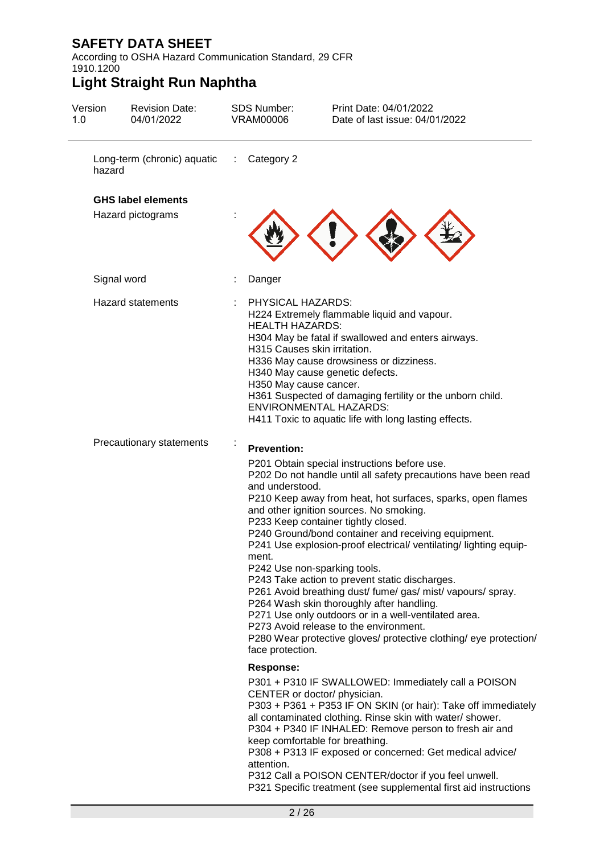According to OSHA Hazard Communication Standard, 29 CFR 1910.1200

| Version<br>1.0 | <b>Revision Date:</b><br>04/01/2022            | <b>SDS Number:</b><br><b>VRAM00006</b>                                                                | Print Date: 04/01/2022<br>Date of last issue: 04/01/2022                                                                                                                                                                                                                                                                                                                                                                                                                                                                                                                                                                                                                                                                                                         |
|----------------|------------------------------------------------|-------------------------------------------------------------------------------------------------------|------------------------------------------------------------------------------------------------------------------------------------------------------------------------------------------------------------------------------------------------------------------------------------------------------------------------------------------------------------------------------------------------------------------------------------------------------------------------------------------------------------------------------------------------------------------------------------------------------------------------------------------------------------------------------------------------------------------------------------------------------------------|
| hazard         | Long-term (chronic) aquatic :                  | Category 2                                                                                            |                                                                                                                                                                                                                                                                                                                                                                                                                                                                                                                                                                                                                                                                                                                                                                  |
|                | <b>GHS label elements</b><br>Hazard pictograms |                                                                                                       |                                                                                                                                                                                                                                                                                                                                                                                                                                                                                                                                                                                                                                                                                                                                                                  |
|                | Signal word                                    | Danger                                                                                                |                                                                                                                                                                                                                                                                                                                                                                                                                                                                                                                                                                                                                                                                                                                                                                  |
|                | <b>Hazard statements</b>                       | PHYSICAL HAZARDS:<br><b>HEALTH HAZARDS:</b><br>H315 Causes skin irritation.<br>H350 May cause cancer. | H224 Extremely flammable liquid and vapour.<br>H304 May be fatal if swallowed and enters airways.<br>H336 May cause drowsiness or dizziness.<br>H340 May cause genetic defects.<br>H361 Suspected of damaging fertility or the unborn child.<br><b>ENVIRONMENTAL HAZARDS:</b><br>H411 Toxic to aquatic life with long lasting effects.                                                                                                                                                                                                                                                                                                                                                                                                                           |
|                | Precautionary statements                       | <b>Prevention:</b><br>and understood.<br>ment.<br>face protection.                                    | P201 Obtain special instructions before use.<br>P202 Do not handle until all safety precautions have been read<br>P210 Keep away from heat, hot surfaces, sparks, open flames<br>and other ignition sources. No smoking.<br>P233 Keep container tightly closed.<br>P240 Ground/bond container and receiving equipment.<br>P241 Use explosion-proof electrical/ ventilating/ lighting equip-<br>P242 Use non-sparking tools.<br>P243 Take action to prevent static discharges.<br>P261 Avoid breathing dust/ fume/ gas/ mist/ vapours/ spray.<br>P264 Wash skin thoroughly after handling.<br>P271 Use only outdoors or in a well-ventilated area.<br>P273 Avoid release to the environment.<br>P280 Wear protective gloves/ protective clothing/ eye protection/ |
|                |                                                | <b>Response:</b><br>attention.                                                                        | P301 + P310 IF SWALLOWED: Immediately call a POISON<br>CENTER or doctor/ physician.<br>P303 + P361 + P353 IF ON SKIN (or hair): Take off immediately<br>all contaminated clothing. Rinse skin with water/ shower.<br>P304 + P340 IF INHALED: Remove person to fresh air and<br>keep comfortable for breathing.<br>P308 + P313 IF exposed or concerned: Get medical advice/<br>P312 Call a POISON CENTER/doctor if you feel unwell.<br>P321 Specific treatment (see supplemental first aid instructions                                                                                                                                                                                                                                                           |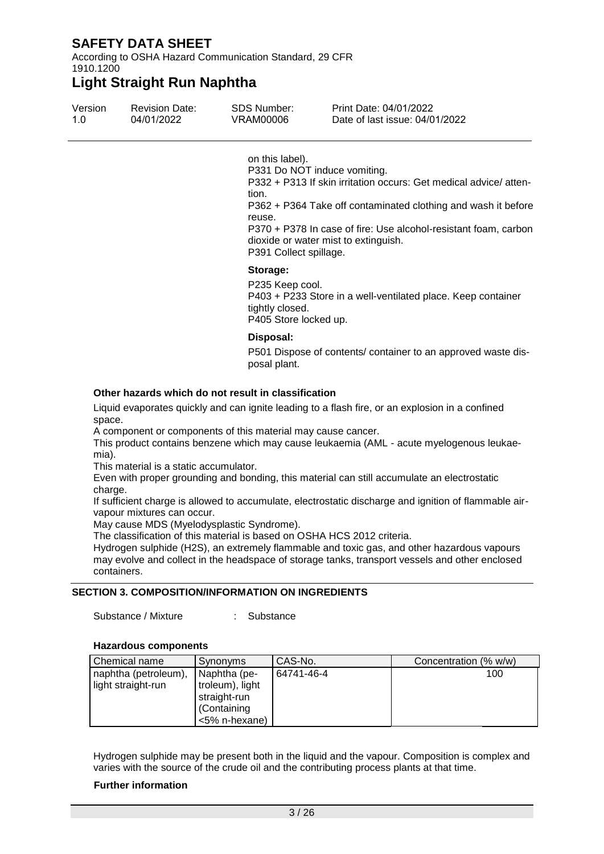According to OSHA Hazard Communication Standard, 29 CFR 1910.1200

### **Light Straight Run Naphtha**

| Version | <b>Revision Date:</b> | SDS Number: | Print Date: 04/01/2022         |
|---------|-----------------------|-------------|--------------------------------|
| 1.0     | 04/01/2022            | VRAM00006   | Date of last issue: 04/01/2022 |

on this label).

P331 Do NOT induce vomiting.

P332 + P313 If skin irritation occurs: Get medical advice/ attention.

P362 + P364 Take off contaminated clothing and wash it before reuse.

P370 + P378 In case of fire: Use alcohol-resistant foam, carbon dioxide or water mist to extinguish.

P391 Collect spillage.

#### **Storage:**

P235 Keep cool. P403 + P233 Store in a well-ventilated place. Keep container tightly closed. P405 Store locked up.

#### **Disposal:**

P501 Dispose of contents/ container to an approved waste disposal plant.

#### **Other hazards which do not result in classification**

Liquid evaporates quickly and can ignite leading to a flash fire, or an explosion in a confined space.

A component or components of this material may cause cancer.

This product contains benzene which may cause leukaemia (AML - acute myelogenous leukaemia).

This material is a static accumulator.

Even with proper grounding and bonding, this material can still accumulate an electrostatic charge.

If sufficient charge is allowed to accumulate, electrostatic discharge and ignition of flammable airvapour mixtures can occur.

May cause MDS (Myelodysplastic Syndrome).

The classification of this material is based on OSHA HCS 2012 criteria.

Hydrogen sulphide (H2S), an extremely flammable and toxic gas, and other hazardous vapours may evolve and collect in the headspace of storage tanks, transport vessels and other enclosed containers.

#### **SECTION 3. COMPOSITION/INFORMATION ON INGREDIENTS**

Substance / Mixture : Substance

#### **Hazardous components**

| Chemical name        | Synonyms        | CAS-No.    | Concentration (% w/w) |
|----------------------|-----------------|------------|-----------------------|
| naphtha (petroleum), | Naphtha (pe-    | 64741-46-4 | 100                   |
| light straight-run   | troleum), light |            |                       |
|                      | straight-run    |            |                       |
|                      | (Containing     |            |                       |
|                      | <5% n-hexane)   |            |                       |

Hydrogen sulphide may be present both in the liquid and the vapour. Composition is complex and varies with the source of the crude oil and the contributing process plants at that time.

#### **Further information**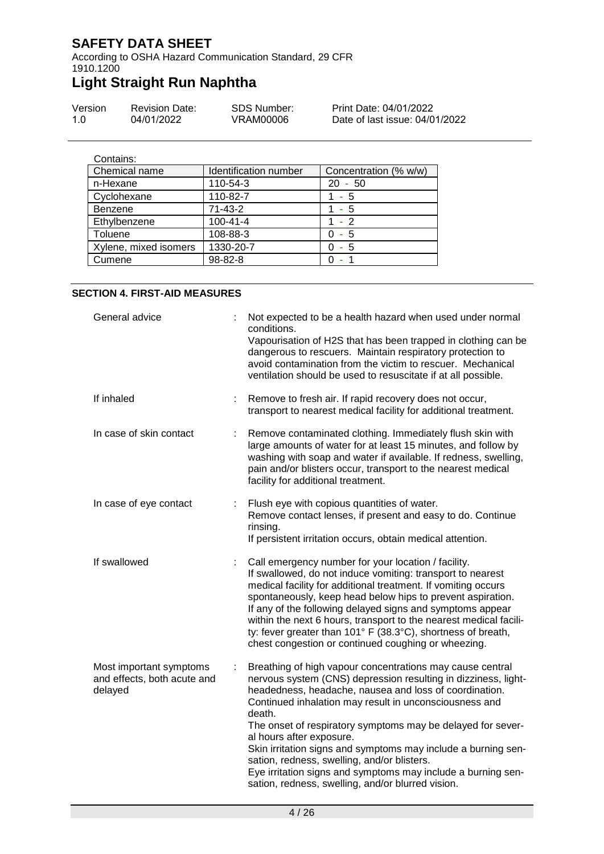According to OSHA Hazard Communication Standard, 29 CFR 1910.1200

# **Light Straight Run Naphtha**

| Version | <b>Revision Date:</b> | SDS Number: | Print Date: 04/01/2022         |
|---------|-----------------------|-------------|--------------------------------|
| 1.0     | 04/01/2022            | VRAM00006   | Date of last issue: 04/01/2022 |

| Contains:             |                       |                       |
|-----------------------|-----------------------|-----------------------|
| Chemical name         | Identification number | Concentration (% w/w) |
| n-Hexane              | 110-54-3              | $20 - 50$             |
| Cyclohexane           | 110-82-7              | 1 - 5                 |
| <b>Benzene</b>        | $71-43-2$             | - 5                   |
| Ethylbenzene          | $100 - 41 - 4$        | $1 - 2$               |
| Toluene               | 108-88-3              | - 5<br>0              |
| Xylene, mixed isomers | 1330-20-7             | - 5                   |
| Cumene                | $98 - 82 - 8$         |                       |

#### **SECTION 4. FIRST-AID MEASURES**

| General advice                                                    |   | Not expected to be a health hazard when used under normal<br>conditions.<br>Vapourisation of H2S that has been trapped in clothing can be<br>dangerous to rescuers. Maintain respiratory protection to<br>avoid contamination from the victim to rescuer. Mechanical<br>ventilation should be used to resuscitate if at all possible.                                                                                                                                                                                                                                                     |
|-------------------------------------------------------------------|---|-------------------------------------------------------------------------------------------------------------------------------------------------------------------------------------------------------------------------------------------------------------------------------------------------------------------------------------------------------------------------------------------------------------------------------------------------------------------------------------------------------------------------------------------------------------------------------------------|
| If inhaled                                                        |   | Remove to fresh air. If rapid recovery does not occur,<br>transport to nearest medical facility for additional treatment.                                                                                                                                                                                                                                                                                                                                                                                                                                                                 |
| In case of skin contact                                           | ÷ | Remove contaminated clothing. Immediately flush skin with<br>large amounts of water for at least 15 minutes, and follow by<br>washing with soap and water if available. If redness, swelling,<br>pain and/or blisters occur, transport to the nearest medical<br>facility for additional treatment.                                                                                                                                                                                                                                                                                       |
| In case of eye contact                                            |   | Flush eye with copious quantities of water.<br>Remove contact lenses, if present and easy to do. Continue<br>rinsing.<br>If persistent irritation occurs, obtain medical attention.                                                                                                                                                                                                                                                                                                                                                                                                       |
| If swallowed                                                      |   | Call emergency number for your location / facility.<br>If swallowed, do not induce vomiting: transport to nearest<br>medical facility for additional treatment. If vomiting occurs<br>spontaneously, keep head below hips to prevent aspiration.<br>If any of the following delayed signs and symptoms appear<br>within the next 6 hours, transport to the nearest medical facili-<br>ty: fever greater than 101° F (38.3°C), shortness of breath,<br>chest congestion or continued coughing or wheezing.                                                                                 |
| Most important symptoms<br>and effects, both acute and<br>delayed | ÷ | Breathing of high vapour concentrations may cause central<br>nervous system (CNS) depression resulting in dizziness, light-<br>headedness, headache, nausea and loss of coordination.<br>Continued inhalation may result in unconsciousness and<br>death.<br>The onset of respiratory symptoms may be delayed for sever-<br>al hours after exposure.<br>Skin irritation signs and symptoms may include a burning sen-<br>sation, redness, swelling, and/or blisters.<br>Eye irritation signs and symptoms may include a burning sen-<br>sation, redness, swelling, and/or blurred vision. |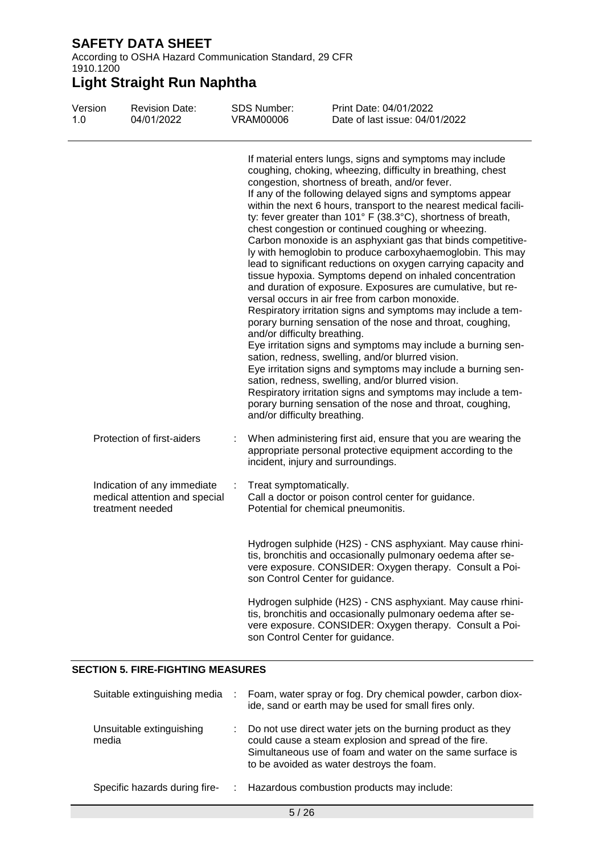According to OSHA Hazard Communication Standard, 29 CFR 1910.1200

# **Light Straight Run Naphtha**

| Version<br>1.0 | <b>Revision Date:</b><br>04/01/2022                                              |   | <b>SDS Number:</b><br><b>VRAM00006</b>                               | Print Date: 04/01/2022<br>Date of last issue: 04/01/2022                                                                                                                                                                                                                                                                                                                                                                                                                                                                                                                                                                                                                                                                                                                                                                                                                                                                                                                                                                                                                                                                                                                                                                                                                                                               |
|----------------|----------------------------------------------------------------------------------|---|----------------------------------------------------------------------|------------------------------------------------------------------------------------------------------------------------------------------------------------------------------------------------------------------------------------------------------------------------------------------------------------------------------------------------------------------------------------------------------------------------------------------------------------------------------------------------------------------------------------------------------------------------------------------------------------------------------------------------------------------------------------------------------------------------------------------------------------------------------------------------------------------------------------------------------------------------------------------------------------------------------------------------------------------------------------------------------------------------------------------------------------------------------------------------------------------------------------------------------------------------------------------------------------------------------------------------------------------------------------------------------------------------|
|                |                                                                                  |   | and/or difficulty breathing.<br>and/or difficulty breathing.         | If material enters lungs, signs and symptoms may include<br>coughing, choking, wheezing, difficulty in breathing, chest<br>congestion, shortness of breath, and/or fever.<br>If any of the following delayed signs and symptoms appear<br>within the next 6 hours, transport to the nearest medical facili-<br>ty: fever greater than 101° F (38.3°C), shortness of breath,<br>chest congestion or continued coughing or wheezing.<br>Carbon monoxide is an asphyxiant gas that binds competitive-<br>ly with hemoglobin to produce carboxyhaemoglobin. This may<br>lead to significant reductions on oxygen carrying capacity and<br>tissue hypoxia. Symptoms depend on inhaled concentration<br>and duration of exposure. Exposures are cumulative, but re-<br>versal occurs in air free from carbon monoxide.<br>Respiratory irritation signs and symptoms may include a tem-<br>porary burning sensation of the nose and throat, coughing,<br>Eye irritation signs and symptoms may include a burning sen-<br>sation, redness, swelling, and/or blurred vision.<br>Eye irritation signs and symptoms may include a burning sen-<br>sation, redness, swelling, and/or blurred vision.<br>Respiratory irritation signs and symptoms may include a tem-<br>porary burning sensation of the nose and throat, coughing, |
|                | Protection of first-aiders                                                       |   | incident, injury and surroundings.                                   | When administering first aid, ensure that you are wearing the<br>appropriate personal protective equipment according to the                                                                                                                                                                                                                                                                                                                                                                                                                                                                                                                                                                                                                                                                                                                                                                                                                                                                                                                                                                                                                                                                                                                                                                                            |
|                | Indication of any immediate<br>medical attention and special<br>treatment needed | ÷ | Treat symptomatically.                                               | Call a doctor or poison control center for guidance.<br>Potential for chemical pneumonitis.                                                                                                                                                                                                                                                                                                                                                                                                                                                                                                                                                                                                                                                                                                                                                                                                                                                                                                                                                                                                                                                                                                                                                                                                                            |
|                |                                                                                  |   | son Control Center for guidance.<br>son Control Center for guidance. | Hydrogen sulphide (H2S) - CNS asphyxiant. May cause rhini-<br>tis, bronchitis and occasionally pulmonary oedema after se-<br>vere exposure. CONSIDER: Oxygen therapy. Consult a Poi-<br>Hydrogen sulphide (H2S) - CNS asphyxiant. May cause rhini-<br>tis, bronchitis and occasionally pulmonary oedema after se-<br>vere exposure. CONSIDER: Oxygen therapy. Consult a Poi-                                                                                                                                                                                                                                                                                                                                                                                                                                                                                                                                                                                                                                                                                                                                                                                                                                                                                                                                           |
|                |                                                                                  |   |                                                                      |                                                                                                                                                                                                                                                                                                                                                                                                                                                                                                                                                                                                                                                                                                                                                                                                                                                                                                                                                                                                                                                                                                                                                                                                                                                                                                                        |

#### **SECTION 5. FIRE-FIGHTING MEASURES**

| Suitable extinguishing media      |    | Foam, water spray or fog. Dry chemical powder, carbon diox-<br>ide, sand or earth may be used for small fires only.                                                                                                            |
|-----------------------------------|----|--------------------------------------------------------------------------------------------------------------------------------------------------------------------------------------------------------------------------------|
| Unsuitable extinguishing<br>media | ÷. | Do not use direct water jets on the burning product as they<br>could cause a steam explosion and spread of the fire.<br>Simultaneous use of foam and water on the same surface is<br>to be avoided as water destroys the foam. |
| Specific hazards during fire-     |    | : Hazardous combustion products may include:                                                                                                                                                                                   |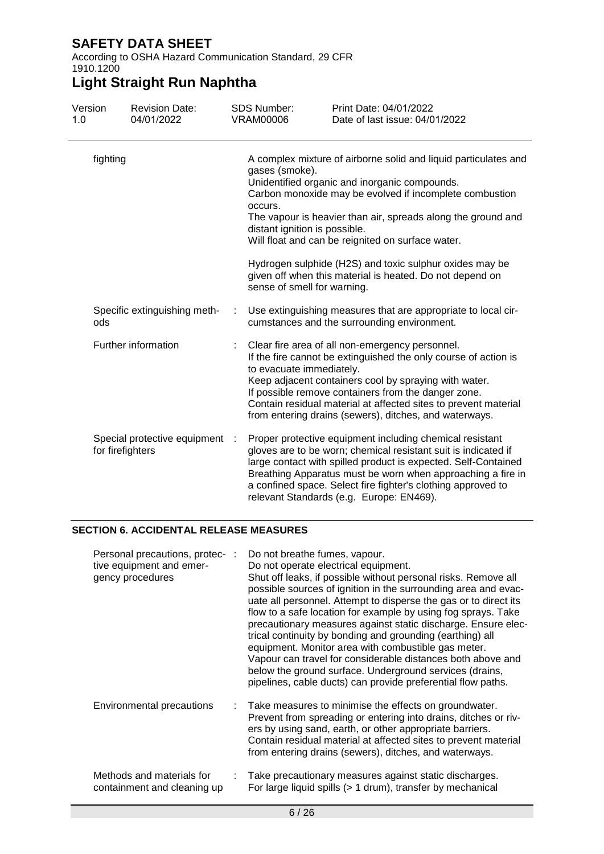According to OSHA Hazard Communication Standard, 29 CFR 1910.1200

# **Light Straight Run Naphtha**

| Version<br>1.0                                   | <b>Revision Date:</b><br>04/01/2022 | <b>SDS Number:</b><br><b>VRAM00006</b>                                                                                                                                                                                                                                                                                                                                                                                                                                                                               | Print Date: 04/01/2022<br>Date of last issue: 04/01/2022                                                                                                                                                                                                                                                                                                                |  |  |
|--------------------------------------------------|-------------------------------------|----------------------------------------------------------------------------------------------------------------------------------------------------------------------------------------------------------------------------------------------------------------------------------------------------------------------------------------------------------------------------------------------------------------------------------------------------------------------------------------------------------------------|-------------------------------------------------------------------------------------------------------------------------------------------------------------------------------------------------------------------------------------------------------------------------------------------------------------------------------------------------------------------------|--|--|
| fighting                                         |                                     | A complex mixture of airborne solid and liquid particulates and<br>gases (smoke).<br>Unidentified organic and inorganic compounds.<br>Carbon monoxide may be evolved if incomplete combustion<br>occurs.<br>The vapour is heavier than air, spreads along the ground and<br>distant ignition is possible.<br>Will float and can be reignited on surface water.<br>Hydrogen sulphide (H2S) and toxic sulphur oxides may be<br>given off when this material is heated. Do not depend on<br>sense of smell for warning. |                                                                                                                                                                                                                                                                                                                                                                         |  |  |
| ods                                              | Specific extinguishing meth-        |                                                                                                                                                                                                                                                                                                                                                                                                                                                                                                                      | Use extinguishing measures that are appropriate to local cir-<br>cumstances and the surrounding environment.                                                                                                                                                                                                                                                            |  |  |
| Further information                              |                                     | to evacuate immediately.                                                                                                                                                                                                                                                                                                                                                                                                                                                                                             | Clear fire area of all non-emergency personnel.<br>If the fire cannot be extinguished the only course of action is<br>Keep adjacent containers cool by spraying with water.<br>If possible remove containers from the danger zone.<br>Contain residual material at affected sites to prevent material<br>from entering drains (sewers), ditches, and waterways.         |  |  |
| Special protective equipment<br>for firefighters |                                     |                                                                                                                                                                                                                                                                                                                                                                                                                                                                                                                      | Proper protective equipment including chemical resistant<br>gloves are to be worn; chemical resistant suit is indicated if<br>large contact with spilled product is expected. Self-Contained<br>Breathing Apparatus must be worn when approaching a fire in<br>a confined space. Select fire fighter's clothing approved to<br>relevant Standards (e.g. Europe: EN469). |  |  |

#### **SECTION 6. ACCIDENTAL RELEASE MEASURES**

| Personal precautions, protec- :<br>tive equipment and emer-<br>gency procedures | Do not breathe fumes, vapour.<br>Do not operate electrical equipment.<br>Shut off leaks, if possible without personal risks. Remove all<br>possible sources of ignition in the surrounding area and evac-<br>uate all personnel. Attempt to disperse the gas or to direct its<br>flow to a safe location for example by using fog sprays. Take<br>precautionary measures against static discharge. Ensure elec-<br>trical continuity by bonding and grounding (earthing) all<br>equipment. Monitor area with combustible gas meter.<br>Vapour can travel for considerable distances both above and<br>below the ground surface. Underground services (drains,<br>pipelines, cable ducts) can provide preferential flow paths. |
|---------------------------------------------------------------------------------|-------------------------------------------------------------------------------------------------------------------------------------------------------------------------------------------------------------------------------------------------------------------------------------------------------------------------------------------------------------------------------------------------------------------------------------------------------------------------------------------------------------------------------------------------------------------------------------------------------------------------------------------------------------------------------------------------------------------------------|
| <b>Environmental precautions</b>                                                | : Take measures to minimise the effects on groundwater.<br>Prevent from spreading or entering into drains, ditches or riv-<br>ers by using sand, earth, or other appropriate barriers.<br>Contain residual material at affected sites to prevent material<br>from entering drains (sewers), ditches, and waterways.                                                                                                                                                                                                                                                                                                                                                                                                           |
| Methods and materials for<br>containment and cleaning up                        | Take precautionary measures against static discharges.<br>For large liquid spills (> 1 drum), transfer by mechanical                                                                                                                                                                                                                                                                                                                                                                                                                                                                                                                                                                                                          |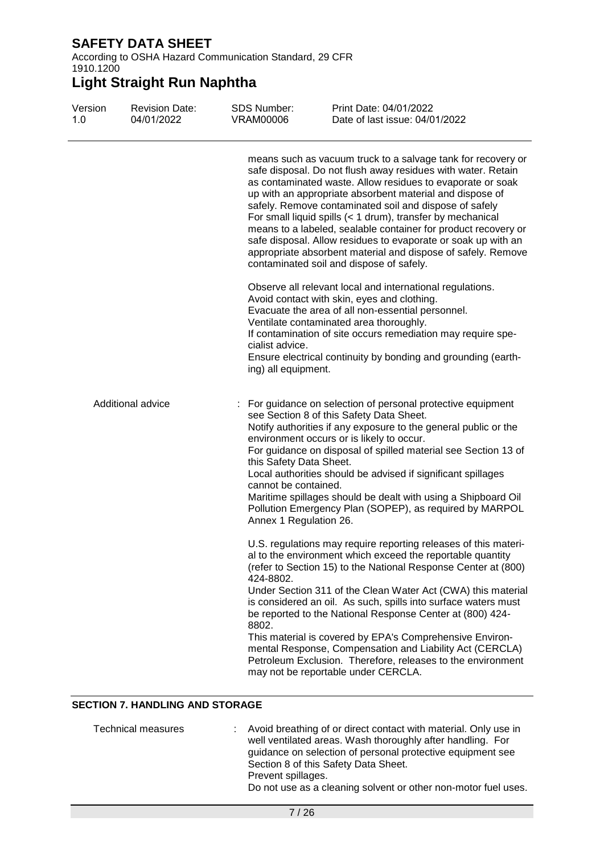According to OSHA Hazard Communication Standard, 29 CFR 1910.1200

# **Light Straight Run Naphtha**

| Version<br>1.0 | <b>Revision Date:</b><br>04/01/2022 | <b>SDS Number:</b><br><b>VRAM00006</b>                                    | Print Date: 04/01/2022<br>Date of last issue: 04/01/2022                                                                                                                                                                                                                                                                                                                                                                                                                                                                                                                                                                      |
|----------------|-------------------------------------|---------------------------------------------------------------------------|-------------------------------------------------------------------------------------------------------------------------------------------------------------------------------------------------------------------------------------------------------------------------------------------------------------------------------------------------------------------------------------------------------------------------------------------------------------------------------------------------------------------------------------------------------------------------------------------------------------------------------|
|                |                                     |                                                                           | means such as vacuum truck to a salvage tank for recovery or<br>safe disposal. Do not flush away residues with water. Retain<br>as contaminated waste. Allow residues to evaporate or soak<br>up with an appropriate absorbent material and dispose of<br>safely. Remove contaminated soil and dispose of safely<br>For small liquid spills (< 1 drum), transfer by mechanical<br>means to a labeled, sealable container for product recovery or<br>safe disposal. Allow residues to evaporate or soak up with an<br>appropriate absorbent material and dispose of safely. Remove<br>contaminated soil and dispose of safely. |
|                |                                     | cialist advice.<br>ing) all equipment.                                    | Observe all relevant local and international regulations.<br>Avoid contact with skin, eyes and clothing.<br>Evacuate the area of all non-essential personnel.<br>Ventilate contaminated area thoroughly.<br>If contamination of site occurs remediation may require spe-<br>Ensure electrical continuity by bonding and grounding (earth-                                                                                                                                                                                                                                                                                     |
|                | Additional advice                   | this Safety Data Sheet.<br>cannot be contained.<br>Annex 1 Regulation 26. | For guidance on selection of personal protective equipment<br>see Section 8 of this Safety Data Sheet.<br>Notify authorities if any exposure to the general public or the<br>environment occurs or is likely to occur.<br>For guidance on disposal of spilled material see Section 13 of<br>Local authorities should be advised if significant spillages<br>Maritime spillages should be dealt with using a Shipboard Oil<br>Pollution Emergency Plan (SOPEP), as required by MARPOL                                                                                                                                          |
|                |                                     | 424-8802.<br>8802.                                                        | U.S. regulations may require reporting releases of this materi-<br>al to the environment which exceed the reportable quantity<br>(refer to Section 15) to the National Response Center at (800)<br>Under Section 311 of the Clean Water Act (CWA) this material<br>is considered an oil. As such, spills into surface waters must<br>be reported to the National Response Center at (800) 424-<br>This material is covered by EPA's Comprehensive Environ-<br>mental Response, Compensation and Liability Act (CERCLA)<br>Petroleum Exclusion. Therefore, releases to the environment<br>may not be reportable under CERCLA.  |

### **SECTION 7. HANDLING AND STORAGE**

| Technical measures | : Avoid breathing of or direct contact with material. Only use in<br>well ventilated areas. Wash thoroughly after handling. For<br>guidance on selection of personal protective equipment see<br>Section 8 of this Safety Data Sheet.<br>Prevent spillages.<br>Do not use as a cleaning solvent or other non-motor fuel uses. |  |
|--------------------|-------------------------------------------------------------------------------------------------------------------------------------------------------------------------------------------------------------------------------------------------------------------------------------------------------------------------------|--|
|                    |                                                                                                                                                                                                                                                                                                                               |  |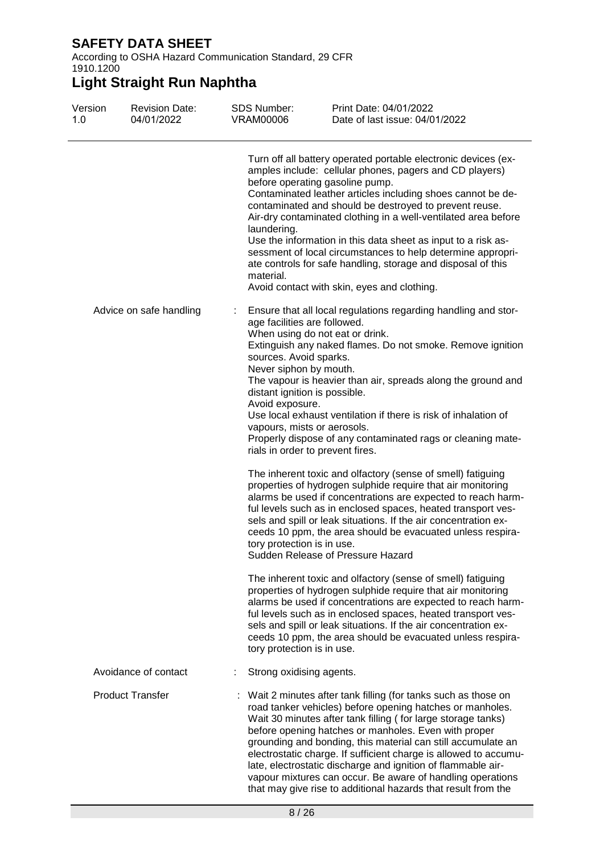According to OSHA Hazard Communication Standard, 29 CFR 1910.1200

| Version<br>1.0 | <b>Revision Date:</b><br>04/01/2022 | <b>SDS Number:</b><br><b>VRAM00006</b>                                                                   | Print Date: 04/01/2022<br>Date of last issue: 04/01/2022                                                                                                                                                                                                                                                                                                                                                                                                                                                                                                                                               |
|----------------|-------------------------------------|----------------------------------------------------------------------------------------------------------|--------------------------------------------------------------------------------------------------------------------------------------------------------------------------------------------------------------------------------------------------------------------------------------------------------------------------------------------------------------------------------------------------------------------------------------------------------------------------------------------------------------------------------------------------------------------------------------------------------|
|                |                                     | laundering.<br>material.                                                                                 | Turn off all battery operated portable electronic devices (ex-<br>amples include: cellular phones, pagers and CD players)<br>before operating gasoline pump.<br>Contaminated leather articles including shoes cannot be de-<br>contaminated and should be destroyed to prevent reuse.<br>Air-dry contaminated clothing in a well-ventilated area before<br>Use the information in this data sheet as input to a risk as-<br>sessment of local circumstances to help determine appropri-<br>ate controls for safe handling, storage and disposal of this<br>Avoid contact with skin, eyes and clothing. |
|                | Advice on safe handling             | ÷<br>age facilities are followed.<br>sources. Avoid sparks.<br>Never siphon by mouth.<br>Avoid exposure. | Ensure that all local regulations regarding handling and stor-<br>When using do not eat or drink.<br>Extinguish any naked flames. Do not smoke. Remove ignition<br>The vapour is heavier than air, spreads along the ground and<br>distant ignition is possible.<br>Use local exhaust ventilation if there is risk of inhalation of<br>vapours, mists or aerosols.<br>Properly dispose of any contaminated rags or cleaning mate-<br>rials in order to prevent fires.                                                                                                                                  |
|                |                                     | tory protection is in use.                                                                               | The inherent toxic and olfactory (sense of smell) fatiguing<br>properties of hydrogen sulphide require that air monitoring<br>alarms be used if concentrations are expected to reach harm-<br>ful levels such as in enclosed spaces, heated transport ves-<br>sels and spill or leak situations. If the air concentration ex-<br>ceeds 10 ppm, the area should be evacuated unless respira-<br>Sudden Release of Pressure Hazard                                                                                                                                                                       |
|                |                                     | tory protection is in use.                                                                               | The inherent toxic and olfactory (sense of smell) fatiguing<br>properties of hydrogen sulphide require that air monitoring<br>alarms be used if concentrations are expected to reach harm-<br>ful levels such as in enclosed spaces, heated transport ves-<br>sels and spill or leak situations. If the air concentration ex-<br>ceeds 10 ppm, the area should be evacuated unless respira-                                                                                                                                                                                                            |
|                | Avoidance of contact                | Strong oxidising agents.                                                                                 |                                                                                                                                                                                                                                                                                                                                                                                                                                                                                                                                                                                                        |
|                | <b>Product Transfer</b>             |                                                                                                          | Wait 2 minutes after tank filling (for tanks such as those on<br>road tanker vehicles) before opening hatches or manholes.<br>Wait 30 minutes after tank filling (for large storage tanks)<br>before opening hatches or manholes. Even with proper<br>grounding and bonding, this material can still accumulate an<br>electrostatic charge. If sufficient charge is allowed to accumu-<br>late, electrostatic discharge and ignition of flammable air-<br>vapour mixtures can occur. Be aware of handling operations<br>that may give rise to additional hazards that result from the                  |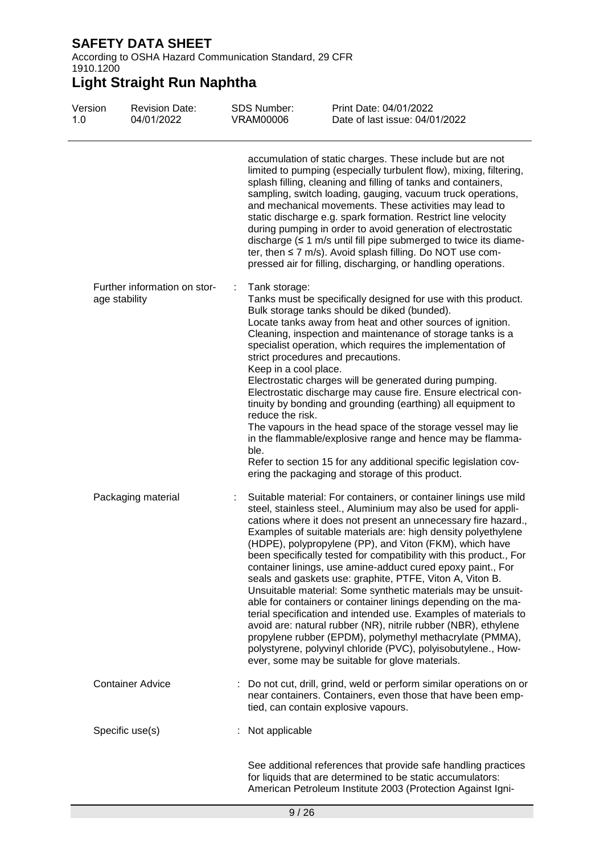According to OSHA Hazard Communication Standard, 29 CFR 1910.1200

| Version<br>1.0 | <b>Revision Date:</b><br>04/01/2022           | <b>SDS Number:</b><br><b>VRAM00006</b>                                  | Print Date: 04/01/2022<br>Date of last issue: 04/01/2022                                                                                                                                                                                                                                                                                                                                                                                                                                                                                                                                                                                                                                                                                                                                                                                                                                                                                                                                |
|----------------|-----------------------------------------------|-------------------------------------------------------------------------|-----------------------------------------------------------------------------------------------------------------------------------------------------------------------------------------------------------------------------------------------------------------------------------------------------------------------------------------------------------------------------------------------------------------------------------------------------------------------------------------------------------------------------------------------------------------------------------------------------------------------------------------------------------------------------------------------------------------------------------------------------------------------------------------------------------------------------------------------------------------------------------------------------------------------------------------------------------------------------------------|
|                |                                               |                                                                         | accumulation of static charges. These include but are not<br>limited to pumping (especially turbulent flow), mixing, filtering,<br>splash filling, cleaning and filling of tanks and containers,<br>sampling, switch loading, gauging, vacuum truck operations,<br>and mechanical movements. These activities may lead to<br>static discharge e.g. spark formation. Restrict line velocity<br>during pumping in order to avoid generation of electrostatic<br>discharge $( \leq 1 \text{ m/s}$ until fill pipe submerged to twice its diame-<br>ter, then $\leq$ 7 m/s). Avoid splash filling. Do NOT use com-<br>pressed air for filling, discharging, or handling operations.                                                                                                                                                                                                                                                                                                         |
|                | Further information on stor-<br>age stability | Tank storage:<br>÷<br>Keep in a cool place.<br>reduce the risk.<br>ble. | Tanks must be specifically designed for use with this product.<br>Bulk storage tanks should be diked (bunded).<br>Locate tanks away from heat and other sources of ignition.<br>Cleaning, inspection and maintenance of storage tanks is a<br>specialist operation, which requires the implementation of<br>strict procedures and precautions.<br>Electrostatic charges will be generated during pumping.<br>Electrostatic discharge may cause fire. Ensure electrical con-<br>tinuity by bonding and grounding (earthing) all equipment to<br>The vapours in the head space of the storage vessel may lie<br>in the flammable/explosive range and hence may be flamma-<br>Refer to section 15 for any additional specific legislation cov-<br>ering the packaging and storage of this product.                                                                                                                                                                                         |
|                | Packaging material                            | ÷                                                                       | Suitable material: For containers, or container linings use mild<br>steel, stainless steel., Aluminium may also be used for appli-<br>cations where it does not present an unnecessary fire hazard.,<br>Examples of suitable materials are: high density polyethylene<br>(HDPE), polypropylene (PP), and Viton (FKM), which have<br>been specifically tested for compatibility with this product., For<br>container linings, use amine-adduct cured epoxy paint., For<br>seals and gaskets use: graphite, PTFE, Viton A, Viton B.<br>Unsuitable material: Some synthetic materials may be unsuit-<br>able for containers or container linings depending on the ma-<br>terial specification and intended use. Examples of materials to<br>avoid are: natural rubber (NR), nitrile rubber (NBR), ethylene<br>propylene rubber (EPDM), polymethyl methacrylate (PMMA),<br>polystyrene, polyvinyl chloride (PVC), polyisobutylene., How-<br>ever, some may be suitable for glove materials. |
|                | <b>Container Advice</b>                       |                                                                         | : Do not cut, drill, grind, weld or perform similar operations on or<br>near containers. Containers, even those that have been emp-<br>tied, can contain explosive vapours.                                                                                                                                                                                                                                                                                                                                                                                                                                                                                                                                                                                                                                                                                                                                                                                                             |
|                | Specific use(s)                               | Not applicable                                                          |                                                                                                                                                                                                                                                                                                                                                                                                                                                                                                                                                                                                                                                                                                                                                                                                                                                                                                                                                                                         |
|                |                                               |                                                                         | See additional references that provide safe handling practices<br>for liquids that are determined to be static accumulators:<br>American Petroleum Institute 2003 (Protection Against Igni-                                                                                                                                                                                                                                                                                                                                                                                                                                                                                                                                                                                                                                                                                                                                                                                             |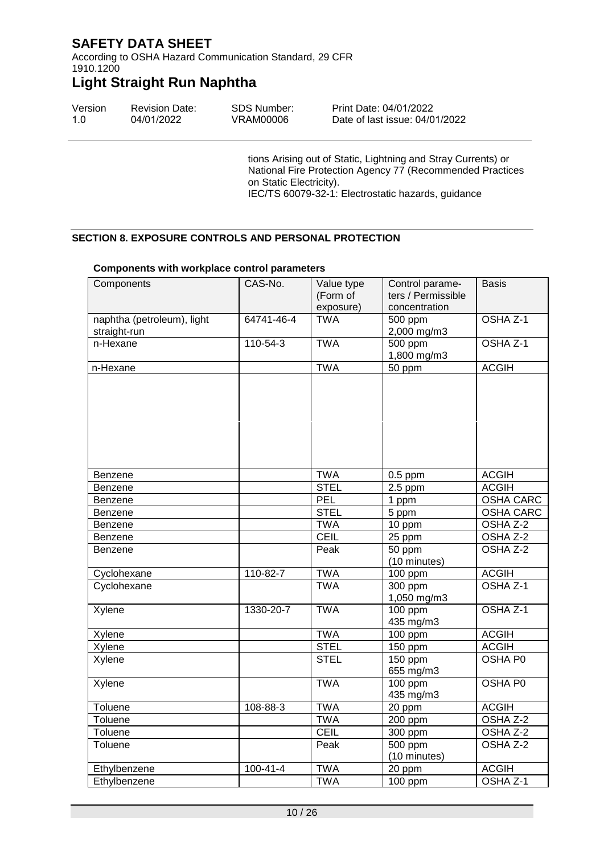According to OSHA Hazard Communication Standard, 29 CFR 1910.1200

## **Light Straight Run Naphtha**

| Version | <b>Revision Date:</b> | <b>SDS Number:</b> | Print Date: 04/01/2022         |
|---------|-----------------------|--------------------|--------------------------------|
| 1.0     | 04/01/2022            | VRAM00006          | Date of last issue: 04/01/2022 |

tions Arising out of Static, Lightning and Stray Currents) or National Fire Protection Agency 77 (Recommended Practices on Static Electricity). IEC/TS 60079-32-1: Electrostatic hazards, guidance

#### **SECTION 8. EXPOSURE CONTROLS AND PERSONAL PROTECTION**

| Components                                 | CAS-No.        | Value type<br>(Form of<br>exposure) | Control parame-<br>ters / Permissible<br>concentration | <b>Basis</b>     |
|--------------------------------------------|----------------|-------------------------------------|--------------------------------------------------------|------------------|
| naphtha (petroleum), light<br>straight-run | 64741-46-4     | <b>TWA</b>                          | 500 ppm<br>2,000 mg/m3                                 | OSHA Z-1         |
| n-Hexane                                   | 110-54-3       | <b>TWA</b>                          | 500 ppm<br>1,800 mg/m3                                 | OSHA Z-1         |
| n-Hexane                                   |                | <b>TWA</b>                          | $50$ ppm                                               | <b>ACGIH</b>     |
|                                            |                |                                     |                                                        |                  |
| Benzene                                    |                | <b>TWA</b>                          | $0.5$ ppm                                              | <b>ACGIH</b>     |
| Benzene                                    |                | <b>STEL</b>                         | $2.5$ ppm                                              | <b>ACGIH</b>     |
| Benzene                                    |                | PEL                                 | 1 ppm                                                  | <b>OSHA CARC</b> |
| Benzene                                    |                | <b>STEL</b>                         | 5 ppm                                                  | <b>OSHA CARC</b> |
| Benzene                                    |                | <b>TWA</b>                          | 10 ppm                                                 | OSHA Z-2         |
| Benzene                                    |                | <b>CEIL</b>                         | 25 ppm                                                 | OSHA Z-2         |
| Benzene                                    |                | Peak                                | 50 ppm<br>(10 minutes)                                 | OSHA Z-2         |
| Cyclohexane                                | 110-82-7       | <b>TWA</b>                          | 100 ppm                                                | <b>ACGIH</b>     |
| Cyclohexane                                |                | <b>TWA</b>                          | 300 ppm<br>1,050 mg/m3                                 | OSHA Z-1         |
| Xylene                                     | 1330-20-7      | <b>TWA</b>                          | 100 ppm<br>OSHA Z-1<br>435 mg/m3                       |                  |
| Xylene                                     |                | <b>TWA</b>                          | $100$ ppm                                              | <b>ACGIH</b>     |
| Xylene                                     |                | <b>STEL</b>                         | 150 ppm                                                | <b>ACGIH</b>     |
| Xylene                                     |                | <b>STEL</b>                         | 150 ppm<br>655 mg/m3                                   | OSHA P0          |
| Xylene                                     |                | <b>TWA</b>                          | $100$ ppm<br>435 mg/m3                                 | <b>OSHA P0</b>   |
| Toluene                                    | 108-88-3       | <b>TWA</b>                          | 20 ppm                                                 | <b>ACGIH</b>     |
| Toluene                                    |                | <b>TWA</b>                          | 200 ppm                                                | OSHA Z-2         |
| Toluene                                    |                | <b>CEIL</b>                         | 300 ppm                                                | OSHA Z-2         |
| Toluene                                    |                | Peak                                | 500 ppm<br>(10 minutes)                                | OSHA Z-2         |
| Ethylbenzene                               | $100 - 41 - 4$ | <b>TWA</b>                          | 20 ppm                                                 | <b>ACGIH</b>     |
| Ethylbenzene                               |                | <b>TWA</b>                          | 100 ppm                                                | OSHA Z-1         |

#### **Components with workplace control parameters**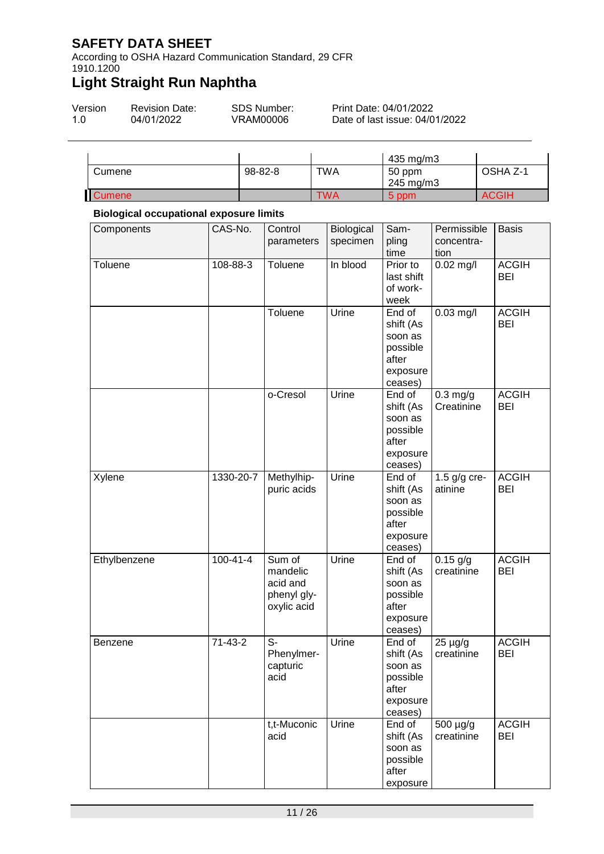According to OSHA Hazard Communication Standard, 29 CFR 1910.1200

# **Light Straight Run Naphtha**

| Version | <b>Revision Date:</b> | SDS Number: | Print Date: 04/01/2022         |
|---------|-----------------------|-------------|--------------------------------|
| 1.O     | 04/01/2022            | VRAM00006   | Date of last issue: 04/01/2022 |

|               |         |     | 435 mg/m3           |              |
|---------------|---------|-----|---------------------|--------------|
| Cumene        | 98-82-8 | TWA | 50 ppm<br>245 mg/m3 | OSHA Z-1     |
| <b>Cumene</b> |         | TWA | 5 ppm               | <b>ACGIH</b> |

#### **Biological occupational exposure limits**

| Components     | CAS-No.        | Control<br>parameters                                        | Biological<br>specimen | Sam-<br>pling<br>time                                                      | Permissible<br>concentra-<br>tion | <b>Basis</b>               |
|----------------|----------------|--------------------------------------------------------------|------------------------|----------------------------------------------------------------------------|-----------------------------------|----------------------------|
| Toluene        | 108-88-3       | Toluene                                                      | In blood               | Prior to<br>last shift<br>of work-<br>week                                 | $0.02$ mg/l                       | <b>ACGIH</b><br><b>BEI</b> |
|                |                | Toluene                                                      | Urine                  | End of<br>shift (As<br>soon as<br>possible<br>after<br>exposure<br>ceases) | $0.03$ mg/l                       | <b>ACGIH</b><br><b>BEI</b> |
|                |                | o-Cresol                                                     | Urine                  | End of<br>shift (As<br>soon as<br>possible<br>after<br>exposure<br>ceases) | $0.3$ mg/g<br>Creatinine          | <b>ACGIH</b><br><b>BEI</b> |
| Xylene         | 1330-20-7      | Methylhip-<br>puric acids                                    | Urine                  | End of<br>shift (As<br>soon as<br>possible<br>after<br>exposure<br>ceases) | 1.5 $g/g$ cre-<br>atinine         | <b>ACGIH</b><br><b>BEI</b> |
| Ethylbenzene   | $100 - 41 - 4$ | Sum of<br>mandelic<br>acid and<br>phenyl gly-<br>oxylic acid | Urine                  | End of<br>shift (As<br>soon as<br>possible<br>after<br>exposure<br>ceases) | $0.15$ g/g<br>creatinine          | <b>ACGIH</b><br><b>BEI</b> |
| <b>Benzene</b> | $71-43-2$      | S-<br>Phenylmer-<br>capturic<br>acıd                         | Urine                  | End of<br>shift (As<br>soon as<br>possible<br>after<br>exposure<br>ceases) | $25 \mu g/g$<br>creatinine        | <b>ACGIH</b><br><b>BEI</b> |
|                |                | t,t-Muconic<br>acid                                          | Urine                  | End of<br>shift (As<br>soon as<br>possible<br>after<br>exposure            | 500 µg/g<br>creatinine            | <b>ACGIH</b><br><b>BEI</b> |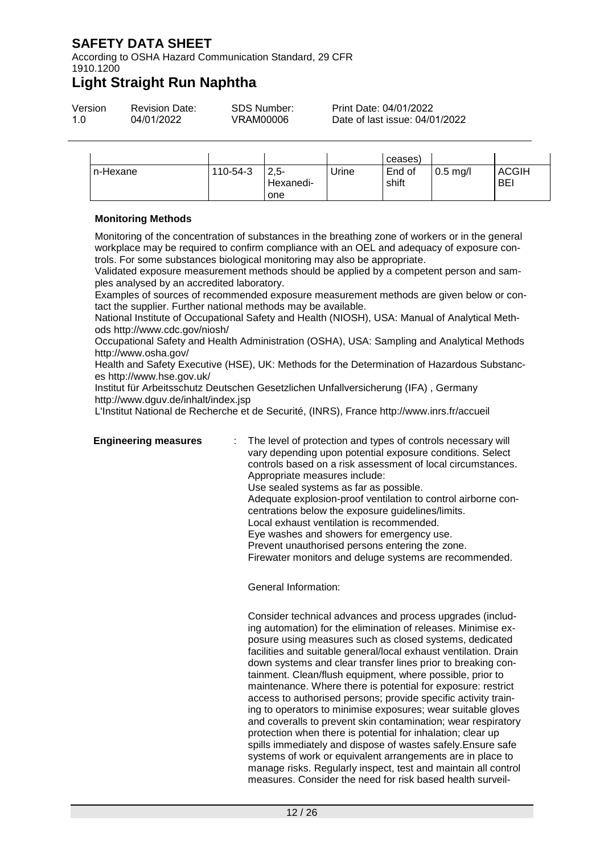According to OSHA Hazard Communication Standard, 29 CFR 1910.1200

### **Light Straight Run Naphtha**

| Version | <b>Revision Date:</b> | <b>SDS Number:</b> | Print Date: 04/01/2022   |
|---------|-----------------------|--------------------|--------------------------|
| 1.0     | 04/01/2022            | VRAM00006          | Date of last issue: 04/0 |

|          |          |                             |       | ceases)         |            |                            |
|----------|----------|-----------------------------|-------|-----------------|------------|----------------------------|
| n-Hexane | 110-54-3 | $2.5 -$<br>Hexanedi-<br>one | Jrine | End of<br>shift | $0.5$ mg/l | <b>ACGIH</b><br><b>BEI</b> |

#### **Monitoring Methods**

Monitoring of the concentration of substances in the breathing zone of workers or in the general workplace may be required to confirm compliance with an OEL and adequacy of exposure controls. For some substances biological monitoring may also be appropriate.

Validated exposure measurement methods should be applied by a competent person and samples analysed by an accredited laboratory.

Examples of sources of recommended exposure measurement methods are given below or contact the supplier. Further national methods may be available.

National Institute of Occupational Safety and Health (NIOSH), USA: Manual of Analytical Methods http://www.cdc.gov/niosh/

Occupational Safety and Health Administration (OSHA), USA: Sampling and Analytical Methods http://www.osha.gov/

Health and Safety Executive (HSE), UK: Methods for the Determination of Hazardous Substances http://www.hse.gov.uk/

Institut für Arbeitsschutz Deutschen Gesetzlichen Unfallversicherung (IFA) , Germany http://www.dguv.de/inhalt/index.jsp

L'Institut National de Recherche et de Securité, (INRS), France http://www.inrs.fr/accueil

**Engineering measures** : The level of protection and types of controls necessary will vary depending upon potential exposure conditions. Select controls based on a risk assessment of local circumstances. Appropriate measures include: Use sealed systems as far as possible. Adequate explosion-proof ventilation to control airborne concentrations below the exposure guidelines/limits. Local exhaust ventilation is recommended. Eye washes and showers for emergency use. Prevent unauthorised persons entering the zone. Firewater monitors and deluge systems are recommended.

04/01/2022

General Information:

Consider technical advances and process upgrades (including automation) for the elimination of releases. Minimise exposure using measures such as closed systems, dedicated facilities and suitable general/local exhaust ventilation. Drain down systems and clear transfer lines prior to breaking containment. Clean/flush equipment, where possible, prior to maintenance. Where there is potential for exposure: restrict access to authorised persons; provide specific activity training to operators to minimise exposures; wear suitable gloves and coveralls to prevent skin contamination; wear respiratory protection when there is potential for inhalation; clear up spills immediately and dispose of wastes safely.Ensure safe systems of work or equivalent arrangements are in place to manage risks. Regularly inspect, test and maintain all control measures. Consider the need for risk based health surveil-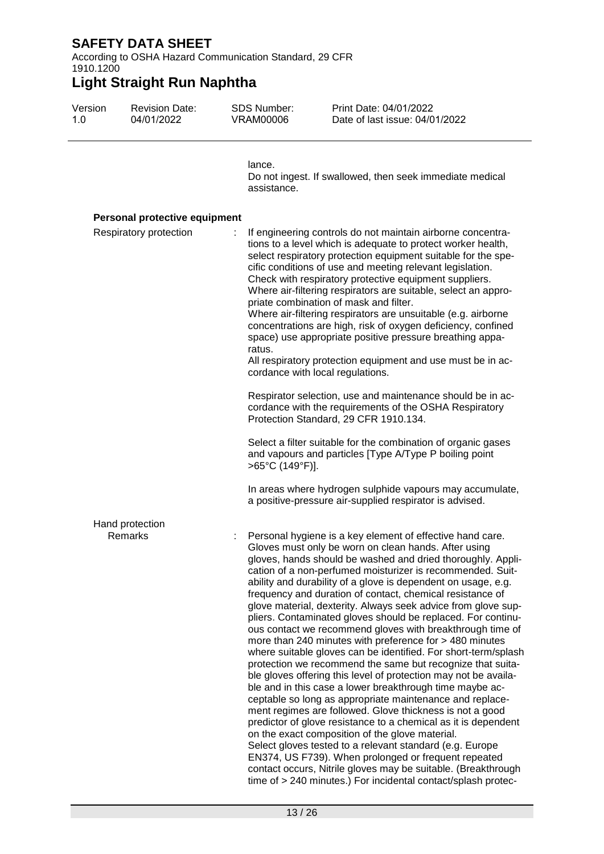According to OSHA Hazard Communication Standard, 29 CFR 1910.1200

| Version<br>1.0 | <b>Revision Date:</b><br>04/01/2022 | <b>SDS Number:</b><br><b>VRAM00006</b> | Print Date: 04/01/2022<br>Date of last issue: 04/01/2022                                                                                                                                                                                                                                                                                                                                                                                                                                                                                                                                                                                                                                                                                                                                                                                                                                                                                                                                                                                                                                                                                                                                                                                                                                                                                                                                                |
|----------------|-------------------------------------|----------------------------------------|---------------------------------------------------------------------------------------------------------------------------------------------------------------------------------------------------------------------------------------------------------------------------------------------------------------------------------------------------------------------------------------------------------------------------------------------------------------------------------------------------------------------------------------------------------------------------------------------------------------------------------------------------------------------------------------------------------------------------------------------------------------------------------------------------------------------------------------------------------------------------------------------------------------------------------------------------------------------------------------------------------------------------------------------------------------------------------------------------------------------------------------------------------------------------------------------------------------------------------------------------------------------------------------------------------------------------------------------------------------------------------------------------------|
|                |                                     | lance.<br>assistance.                  | Do not ingest. If swallowed, then seek immediate medical                                                                                                                                                                                                                                                                                                                                                                                                                                                                                                                                                                                                                                                                                                                                                                                                                                                                                                                                                                                                                                                                                                                                                                                                                                                                                                                                                |
|                | Personal protective equipment       |                                        |                                                                                                                                                                                                                                                                                                                                                                                                                                                                                                                                                                                                                                                                                                                                                                                                                                                                                                                                                                                                                                                                                                                                                                                                                                                                                                                                                                                                         |
|                | Respiratory protection              | ratus.                                 | If engineering controls do not maintain airborne concentra-<br>tions to a level which is adequate to protect worker health,<br>select respiratory protection equipment suitable for the spe-<br>cific conditions of use and meeting relevant legislation.<br>Check with respiratory protective equipment suppliers.<br>Where air-filtering respirators are suitable, select an appro-<br>priate combination of mask and filter.<br>Where air-filtering respirators are unsuitable (e.g. airborne<br>concentrations are high, risk of oxygen deficiency, confined<br>space) use appropriate positive pressure breathing appa-<br>All respiratory protection equipment and use must be in ac-<br>cordance with local regulations.                                                                                                                                                                                                                                                                                                                                                                                                                                                                                                                                                                                                                                                                         |
|                |                                     |                                        | Respirator selection, use and maintenance should be in ac-<br>cordance with the requirements of the OSHA Respiratory<br>Protection Standard, 29 CFR 1910.134.                                                                                                                                                                                                                                                                                                                                                                                                                                                                                                                                                                                                                                                                                                                                                                                                                                                                                                                                                                                                                                                                                                                                                                                                                                           |
|                |                                     | >65°C (149°F)].                        | Select a filter suitable for the combination of organic gases<br>and vapours and particles [Type A/Type P boiling point                                                                                                                                                                                                                                                                                                                                                                                                                                                                                                                                                                                                                                                                                                                                                                                                                                                                                                                                                                                                                                                                                                                                                                                                                                                                                 |
|                |                                     |                                        | In areas where hydrogen sulphide vapours may accumulate,<br>a positive-pressure air-supplied respirator is advised.                                                                                                                                                                                                                                                                                                                                                                                                                                                                                                                                                                                                                                                                                                                                                                                                                                                                                                                                                                                                                                                                                                                                                                                                                                                                                     |
|                | Hand protection<br>Remarks          |                                        | Personal hygiene is a key element of effective hand care.<br>Gloves must only be worn on clean hands. After using<br>gloves, hands should be washed and dried thoroughly. Appli-<br>cation of a non-perfumed moisturizer is recommended. Suit-<br>ability and durability of a glove is dependent on usage, e.g.<br>frequency and duration of contact, chemical resistance of<br>glove material, dexterity. Always seek advice from glove sup-<br>pliers. Contaminated gloves should be replaced. For continu-<br>ous contact we recommend gloves with breakthrough time of<br>more than 240 minutes with preference for > 480 minutes<br>where suitable gloves can be identified. For short-term/splash<br>protection we recommend the same but recognize that suita-<br>ble gloves offering this level of protection may not be availa-<br>ble and in this case a lower breakthrough time maybe ac-<br>ceptable so long as appropriate maintenance and replace-<br>ment regimes are followed. Glove thickness is not a good<br>predictor of glove resistance to a chemical as it is dependent<br>on the exact composition of the glove material.<br>Select gloves tested to a relevant standard (e.g. Europe<br>EN374, US F739). When prolonged or frequent repeated<br>contact occurs, Nitrile gloves may be suitable. (Breakthrough<br>time of > 240 minutes.) For incidental contact/splash protec- |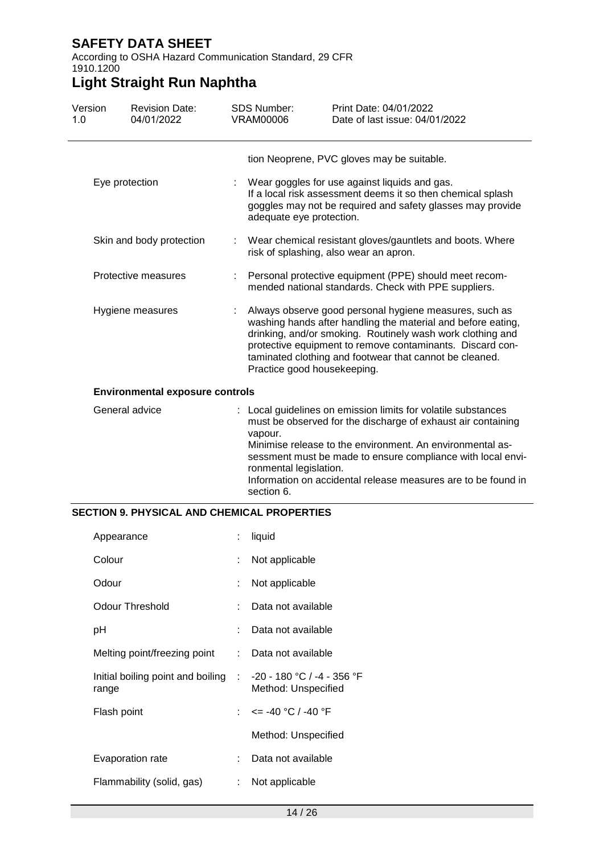#### According to OSHA Hazard Communication Standard, 29 CFR 1910.1200

## **Light Straight Run Naphtha**

| Version<br>1.0 | <b>Revision Date:</b><br>04/01/2022    |   | <b>SDS Number:</b><br>VRAM00006                 | Print Date: 04/01/2022<br>Date of last issue: 04/01/2022                                                                                                                                                                                                                                                                   |
|----------------|----------------------------------------|---|-------------------------------------------------|----------------------------------------------------------------------------------------------------------------------------------------------------------------------------------------------------------------------------------------------------------------------------------------------------------------------------|
|                |                                        |   |                                                 | tion Neoprene, PVC gloves may be suitable.                                                                                                                                                                                                                                                                                 |
|                | Eye protection                         |   | adequate eye protection.                        | Wear goggles for use against liquids and gas.<br>If a local risk assessment deems it so then chemical splash<br>goggles may not be required and safety glasses may provide                                                                                                                                                 |
|                | Skin and body protection               |   |                                                 | : Wear chemical resistant gloves/gauntlets and boots. Where<br>risk of splashing, also wear an apron.                                                                                                                                                                                                                      |
|                | Protective measures                    | ÷ |                                                 | Personal protective equipment (PPE) should meet recom-<br>mended national standards. Check with PPE suppliers.                                                                                                                                                                                                             |
|                | Hygiene measures                       |   | Practice good housekeeping.                     | Always observe good personal hygiene measures, such as<br>washing hands after handling the material and before eating,<br>drinking, and/or smoking. Routinely wash work clothing and<br>protective equipment to remove contaminants. Discard con-<br>taminated clothing and footwear that cannot be cleaned.               |
|                | <b>Environmental exposure controls</b> |   |                                                 |                                                                                                                                                                                                                                                                                                                            |
|                | General advice                         |   | vapour.<br>ronmental legislation.<br>section 6. | : Local guidelines on emission limits for volatile substances<br>must be observed for the discharge of exhaust air containing<br>Minimise release to the environment. An environmental as-<br>sessment must be made to ensure compliance with local envi-<br>Information on accidental release measures are to be found in |

#### **SECTION 9. PHYSICAL AND CHEMICAL PROPERTIES**

| Appearance                                                              | ÷   | liquid                    |
|-------------------------------------------------------------------------|-----|---------------------------|
| Colour                                                                  |     | Not applicable            |
| Odour                                                                   |     | Not applicable            |
| Odour Threshold                                                         |     | Data not available        |
| рH                                                                      |     | Data not available        |
| Melting point/freezing point                                            | × 1 | Data not available        |
| Initial boiling point and boiling : -20 - 180 °C / -4 - 356 °F<br>range |     | Method: Unspecified       |
| Flash point                                                             |     | : $\le$ = -40 °C / -40 °F |
|                                                                         |     | Method: Unspecified       |
| Evaporation rate                                                        |     | Data not available        |
| Flammability (solid, gas)                                               | t.  | Not applicable            |
|                                                                         |     |                           |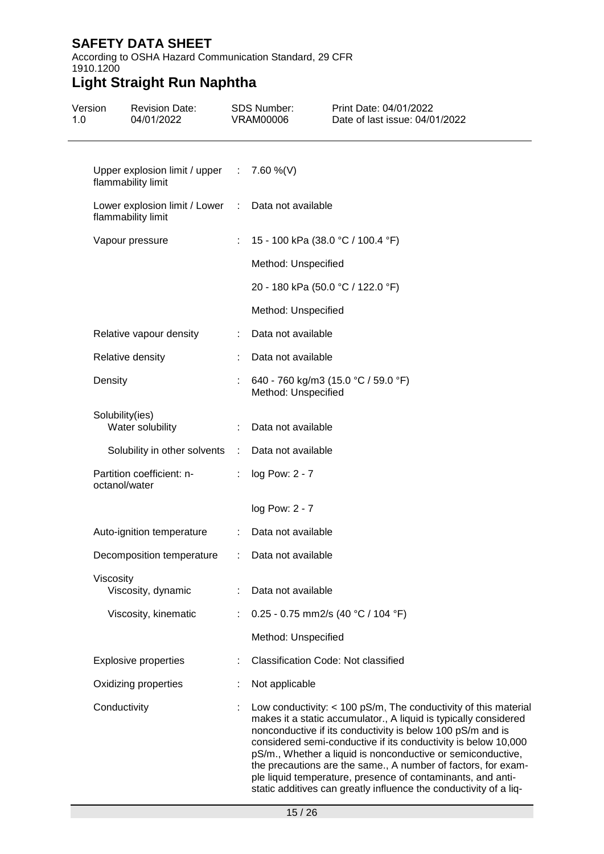#### According to OSHA Hazard Communication Standard, 29 CFR 1910.1200

| Version<br>1.0 | <b>Revision Date:</b><br>04/01/2022                                        |                | <b>SDS Number:</b><br><b>VRAM00006</b>     | Print Date: 04/01/2022<br>Date of last issue: 04/01/2022                                                                                                                                                                                                                                                                                                                                                                                                                                                                                  |
|----------------|----------------------------------------------------------------------------|----------------|--------------------------------------------|-------------------------------------------------------------------------------------------------------------------------------------------------------------------------------------------------------------------------------------------------------------------------------------------------------------------------------------------------------------------------------------------------------------------------------------------------------------------------------------------------------------------------------------------|
|                | Upper explosion limit / upper $\therefore$ 7.60 %(V)<br>flammability limit |                |                                            |                                                                                                                                                                                                                                                                                                                                                                                                                                                                                                                                           |
|                | Lower explosion limit / Lower : Data not available<br>flammability limit   |                |                                            |                                                                                                                                                                                                                                                                                                                                                                                                                                                                                                                                           |
|                | Vapour pressure                                                            |                | : 15 - 100 kPa (38.0 °C / 100.4 °F)        |                                                                                                                                                                                                                                                                                                                                                                                                                                                                                                                                           |
|                |                                                                            |                | Method: Unspecified                        |                                                                                                                                                                                                                                                                                                                                                                                                                                                                                                                                           |
|                |                                                                            |                | 20 - 180 kPa (50.0 °C / 122.0 °F)          |                                                                                                                                                                                                                                                                                                                                                                                                                                                                                                                                           |
|                |                                                                            |                | Method: Unspecified                        |                                                                                                                                                                                                                                                                                                                                                                                                                                                                                                                                           |
|                | Relative vapour density                                                    |                | Data not available                         |                                                                                                                                                                                                                                                                                                                                                                                                                                                                                                                                           |
|                | Relative density                                                           |                | Data not available                         |                                                                                                                                                                                                                                                                                                                                                                                                                                                                                                                                           |
|                | Density                                                                    |                | Method: Unspecified                        | : 640 - 760 kg/m3 (15.0 °C / 59.0 °F)                                                                                                                                                                                                                                                                                                                                                                                                                                                                                                     |
|                | Solubility(ies)<br>Water solubility                                        |                | Data not available                         |                                                                                                                                                                                                                                                                                                                                                                                                                                                                                                                                           |
|                | Solubility in other solvents :                                             |                | Data not available                         |                                                                                                                                                                                                                                                                                                                                                                                                                                                                                                                                           |
|                | Partition coefficient: n-<br>octanol/water                                 | $\mathbb{R}^n$ | log Pow: 2 - 7                             |                                                                                                                                                                                                                                                                                                                                                                                                                                                                                                                                           |
|                |                                                                            |                | log Pow: 2 - 7                             |                                                                                                                                                                                                                                                                                                                                                                                                                                                                                                                                           |
|                | Auto-ignition temperature                                                  |                | : Data not available                       |                                                                                                                                                                                                                                                                                                                                                                                                                                                                                                                                           |
|                | Decomposition temperature : Data not available                             |                |                                            |                                                                                                                                                                                                                                                                                                                                                                                                                                                                                                                                           |
|                | Viscosity<br>Viscosity, dynamic                                            |                | : Data not available                       |                                                                                                                                                                                                                                                                                                                                                                                                                                                                                                                                           |
|                | Viscosity, kinematic                                                       | ÷              | 0.25 - 0.75 mm2/s (40 °C / 104 °F)         |                                                                                                                                                                                                                                                                                                                                                                                                                                                                                                                                           |
|                |                                                                            |                | Method: Unspecified                        |                                                                                                                                                                                                                                                                                                                                                                                                                                                                                                                                           |
|                | <b>Explosive properties</b>                                                |                | <b>Classification Code: Not classified</b> |                                                                                                                                                                                                                                                                                                                                                                                                                                                                                                                                           |
|                | Oxidizing properties                                                       |                | Not applicable                             |                                                                                                                                                                                                                                                                                                                                                                                                                                                                                                                                           |
|                | Conductivity                                                               |                |                                            | Low conductivity: $<$ 100 pS/m, The conductivity of this material<br>makes it a static accumulator., A liquid is typically considered<br>nonconductive if its conductivity is below 100 pS/m and is<br>considered semi-conductive if its conductivity is below 10,000<br>pS/m., Whether a liquid is nonconductive or semiconductive,<br>the precautions are the same., A number of factors, for exam-<br>ple liquid temperature, presence of contaminants, and anti-<br>static additives can greatly influence the conductivity of a liq- |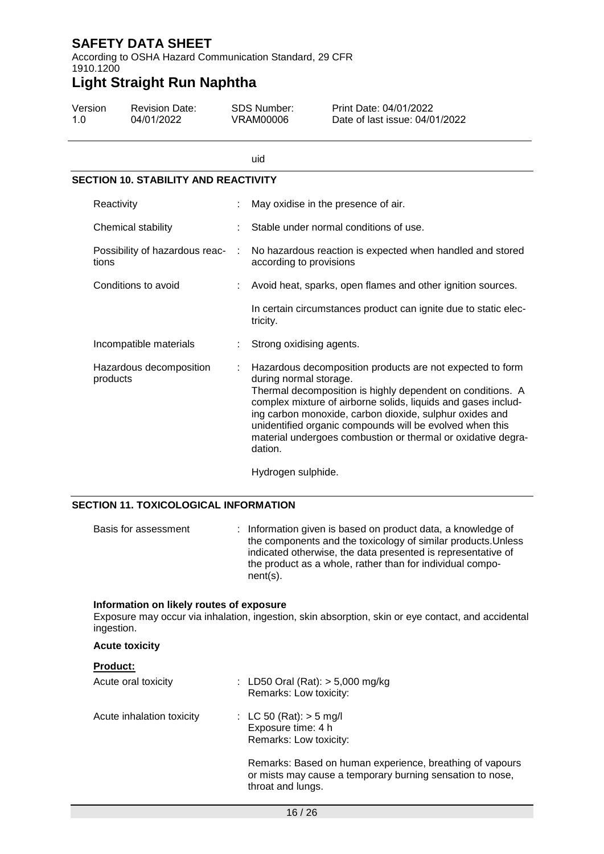According to OSHA Hazard Communication Standard, 29 CFR 1910.1200

# **Light Straight Run Naphtha**

| Version | <b>Revision Date:</b> | SDS Number: | Print Date: 04/01/2022         |
|---------|-----------------------|-------------|--------------------------------|
| 1 O     | 04/01/2022            | VRAM00006   | Date of last issue: 04/01/2022 |

|                                             |   | uid                                                                                                                                                                                                                                                                                                                                                                                                                  |
|---------------------------------------------|---|----------------------------------------------------------------------------------------------------------------------------------------------------------------------------------------------------------------------------------------------------------------------------------------------------------------------------------------------------------------------------------------------------------------------|
| <b>SECTION 10. STABILITY AND REACTIVITY</b> |   |                                                                                                                                                                                                                                                                                                                                                                                                                      |
| Reactivity                                  |   | May oxidise in the presence of air.                                                                                                                                                                                                                                                                                                                                                                                  |
| Chemical stability                          |   | Stable under normal conditions of use.                                                                                                                                                                                                                                                                                                                                                                               |
| Possibility of hazardous reac-<br>tions     | ÷ | No hazardous reaction is expected when handled and stored<br>according to provisions                                                                                                                                                                                                                                                                                                                                 |
| Conditions to avoid                         |   | Avoid heat, sparks, open flames and other ignition sources.                                                                                                                                                                                                                                                                                                                                                          |
|                                             |   | In certain circumstances product can ignite due to static elec-<br>tricity.                                                                                                                                                                                                                                                                                                                                          |
| Incompatible materials                      |   | Strong oxidising agents.                                                                                                                                                                                                                                                                                                                                                                                             |
| Hazardous decomposition<br>products         |   | Hazardous decomposition products are not expected to form<br>during normal storage.<br>Thermal decomposition is highly dependent on conditions. A<br>complex mixture of airborne solids, liquids and gases includ-<br>ing carbon monoxide, carbon dioxide, sulphur oxides and<br>unidentified organic compounds will be evolved when this<br>material undergoes combustion or thermal or oxidative degra-<br>dation. |
|                                             |   | Hydrogen sulphide.                                                                                                                                                                                                                                                                                                                                                                                                   |

#### **SECTION 11. TOXICOLOGICAL INFORMATION**

| Basis for assessment | : Information given is based on product data, a knowledge of<br>the components and the toxicology of similar products. Unless<br>indicated otherwise, the data presented is representative of<br>the product as a whole, rather than for individual compo-<br>$nent(s)$ . |
|----------------------|---------------------------------------------------------------------------------------------------------------------------------------------------------------------------------------------------------------------------------------------------------------------------|
|----------------------|---------------------------------------------------------------------------------------------------------------------------------------------------------------------------------------------------------------------------------------------------------------------------|

#### **Information on likely routes of exposure**

Exposure may occur via inhalation, ingestion, skin absorption, skin or eye contact, and accidental ingestion.

#### **Acute toxicity**

| <b>Product:</b>           |                                                                                                                                            |
|---------------------------|--------------------------------------------------------------------------------------------------------------------------------------------|
| Acute oral toxicity       | : LD50 Oral (Rat): $> 5,000$ mg/kg<br>Remarks: Low toxicity:                                                                               |
| Acute inhalation toxicity | : LC 50 (Rat): $>$ 5 mg/l<br>Exposure time: 4 h<br>Remarks: Low toxicity:                                                                  |
|                           | Remarks: Based on human experience, breathing of vapours<br>or mists may cause a temporary burning sensation to nose,<br>throat and lungs. |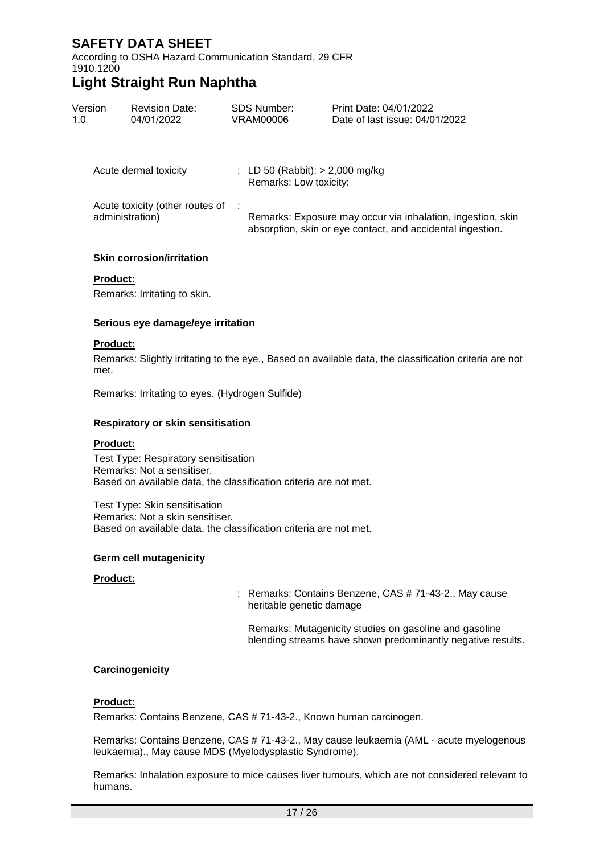According to OSHA Hazard Communication Standard, 29 CFR 1910.1200

## **Light Straight Run Naphtha**

| Version<br>1.0 | <b>Revision Date:</b><br>04/01/2022                | <b>SDS Number:</b><br>VRAM00006                             | Print Date: 04/01/2022<br>Date of last issue: 04/01/2022                                                                  |
|----------------|----------------------------------------------------|-------------------------------------------------------------|---------------------------------------------------------------------------------------------------------------------------|
|                | Acute dermal toxicity                              | : LD 50 (Rabbit): $>$ 2,000 mg/kg<br>Remarks: Low toxicity: |                                                                                                                           |
|                | Acute toxicity (other routes of<br>administration) |                                                             | Remarks: Exposure may occur via inhalation, ingestion, skin<br>absorption, skin or eye contact, and accidental ingestion. |

#### **Skin corrosion/irritation**

#### **Product:**

Remarks: Irritating to skin.

#### **Serious eye damage/eye irritation**

#### **Product:**

Remarks: Slightly irritating to the eye., Based on available data, the classification criteria are not met.

Remarks: Irritating to eyes. (Hydrogen Sulfide)

#### **Respiratory or skin sensitisation**

#### **Product:**

Test Type: Respiratory sensitisation Remarks: Not a sensitiser. Based on available data, the classification criteria are not met.

Test Type: Skin sensitisation Remarks: Not a skin sensitiser. Based on available data, the classification criteria are not met.

#### **Germ cell mutagenicity**

#### **Product:**

: Remarks: Contains Benzene, CAS # 71-43-2., May cause heritable genetic damage

Remarks: Mutagenicity studies on gasoline and gasoline blending streams have shown predominantly negative results.

#### **Carcinogenicity**

#### **Product:**

Remarks: Contains Benzene, CAS # 71-43-2., Known human carcinogen.

Remarks: Contains Benzene, CAS # 71-43-2., May cause leukaemia (AML - acute myelogenous leukaemia)., May cause MDS (Myelodysplastic Syndrome).

Remarks: Inhalation exposure to mice causes liver tumours, which are not considered relevant to humans.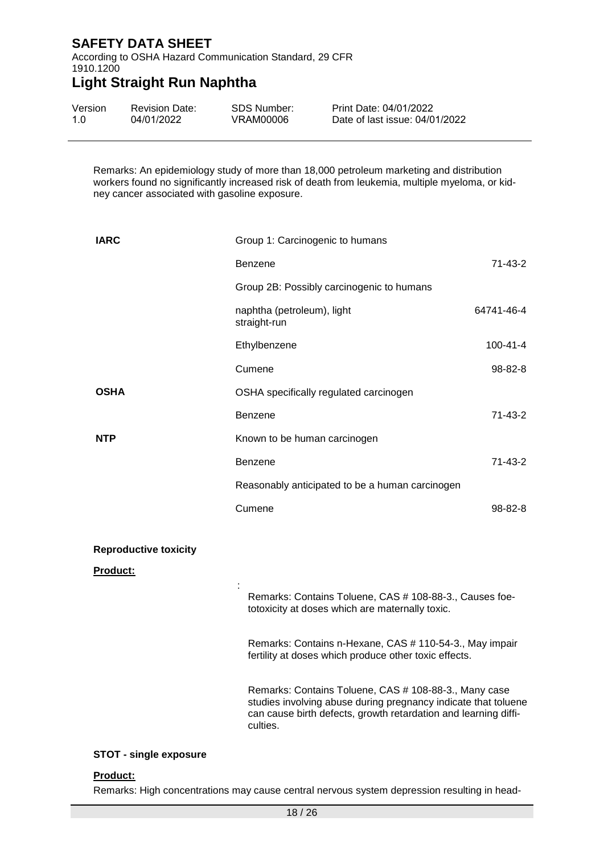According to OSHA Hazard Communication Standard, 29 CFR 1910.1200

# **Light Straight Run Naphtha**

| Version | <b>Revision Date:</b> | SDS Number: | Print Date: 04/01/2022         |
|---------|-----------------------|-------------|--------------------------------|
| 1.0     | 04/01/2022            | VRAM00006   | Date of last issue: 04/01/2022 |

Remarks: An epidemiology study of more than 18,000 petroleum marketing and distribution workers found no significantly increased risk of death from leukemia, multiple myeloma, or kidney cancer associated with gasoline exposure.

| <b>IARC</b>                   | Group 1: Carcinogenic to humans                                                                                                                                                                        |               |
|-------------------------------|--------------------------------------------------------------------------------------------------------------------------------------------------------------------------------------------------------|---------------|
|                               | <b>Benzene</b>                                                                                                                                                                                         | 71-43-2       |
|                               | Group 2B: Possibly carcinogenic to humans                                                                                                                                                              |               |
|                               | naphtha (petroleum), light<br>straight-run                                                                                                                                                             | 64741-46-4    |
|                               | Ethylbenzene                                                                                                                                                                                           | 100-41-4      |
|                               | Cumene                                                                                                                                                                                                 | 98-82-8       |
| <b>OSHA</b>                   | OSHA specifically regulated carcinogen                                                                                                                                                                 |               |
|                               | Benzene                                                                                                                                                                                                | 71-43-2       |
| NTP                           | Known to be human carcinogen                                                                                                                                                                           |               |
|                               | <b>Benzene</b>                                                                                                                                                                                         | 71-43-2       |
|                               | Reasonably anticipated to be a human carcinogen                                                                                                                                                        |               |
|                               | Cumene                                                                                                                                                                                                 | $98 - 82 - 8$ |
|                               |                                                                                                                                                                                                        |               |
| <b>Reproductive toxicity</b>  |                                                                                                                                                                                                        |               |
| <b>Product:</b>               |                                                                                                                                                                                                        |               |
|                               | Remarks: Contains Toluene, CAS # 108-88-3., Causes foe-<br>totoxicity at doses which are maternally toxic.                                                                                             |               |
|                               | Remarks: Contains n-Hexane, CAS # 110-54-3., May impair<br>fertility at doses which produce other toxic effects.                                                                                       |               |
|                               | Remarks: Contains Toluene, CAS # 108-88-3., Many case<br>studies involving abuse during pregnancy indicate that toluene<br>can cause birth defects, growth retardation and learning diffi-<br>culties. |               |
| <b>STOT - single exposure</b> |                                                                                                                                                                                                        |               |

#### **Product:**

Remarks: High concentrations may cause central nervous system depression resulting in head-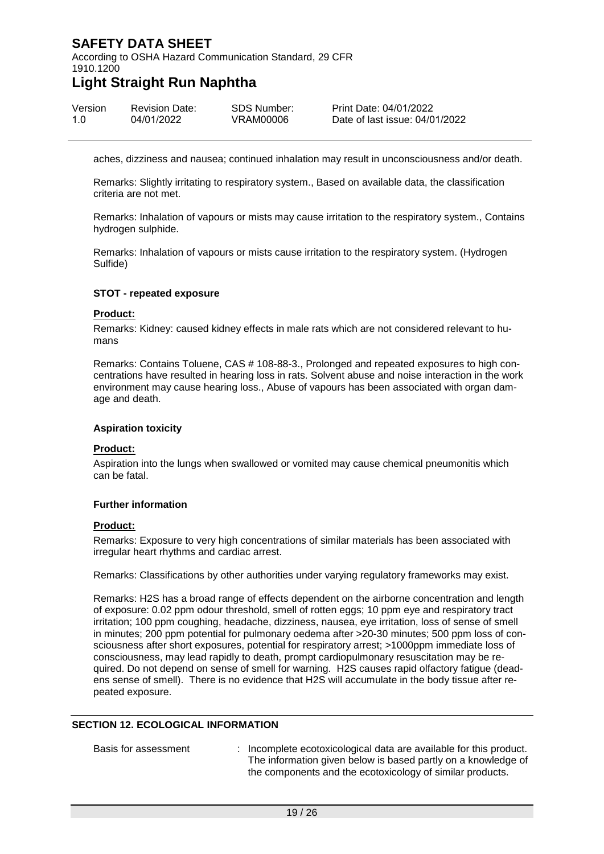According to OSHA Hazard Communication Standard, 29 CFR 1910.1200

## **Light Straight Run Naphtha**

| Version | <b>Revision Date:</b> | <b>SDS Number:</b> | Print |
|---------|-----------------------|--------------------|-------|
| 1.0     | 04/01/2022            | VRAM00006          | Date  |

Date: 04/01/2022 e of last issue: 04/01/2022

aches, dizziness and nausea; continued inhalation may result in unconsciousness and/or death.

Remarks: Slightly irritating to respiratory system., Based on available data, the classification criteria are not met.

Remarks: Inhalation of vapours or mists may cause irritation to the respiratory system., Contains hydrogen sulphide.

Remarks: Inhalation of vapours or mists cause irritation to the respiratory system. (Hydrogen Sulfide)

#### **STOT - repeated exposure**

#### **Product:**

Remarks: Kidney: caused kidney effects in male rats which are not considered relevant to humans

Remarks: Contains Toluene, CAS # 108-88-3., Prolonged and repeated exposures to high concentrations have resulted in hearing loss in rats. Solvent abuse and noise interaction in the work environment may cause hearing loss., Abuse of vapours has been associated with organ damage and death.

#### **Aspiration toxicity**

#### **Product:**

Aspiration into the lungs when swallowed or vomited may cause chemical pneumonitis which can be fatal.

#### **Further information**

#### **Product:**

Remarks: Exposure to very high concentrations of similar materials has been associated with irregular heart rhythms and cardiac arrest.

Remarks: Classifications by other authorities under varying regulatory frameworks may exist.

Remarks: H2S has a broad range of effects dependent on the airborne concentration and length of exposure: 0.02 ppm odour threshold, smell of rotten eggs; 10 ppm eye and respiratory tract irritation; 100 ppm coughing, headache, dizziness, nausea, eye irritation, loss of sense of smell in minutes; 200 ppm potential for pulmonary oedema after >20-30 minutes; 500 ppm loss of consciousness after short exposures, potential for respiratory arrest; >1000ppm immediate loss of consciousness, may lead rapidly to death, prompt cardiopulmonary resuscitation may be required. Do not depend on sense of smell for warning. H2S causes rapid olfactory fatigue (deadens sense of smell). There is no evidence that H2S will accumulate in the body tissue after repeated exposure.

#### **SECTION 12. ECOLOGICAL INFORMATION**

Basis for assessment : Incomplete ecotoxicological data are available for this product. The information given below is based partly on a knowledge of the components and the ecotoxicology of similar products.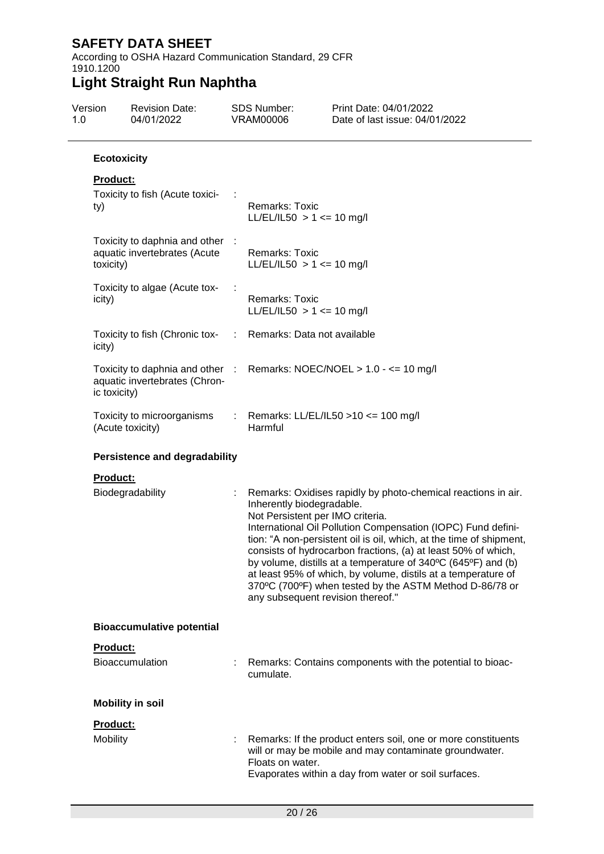According to OSHA Hazard Communication Standard, 29 CFR 1910.1200

| Version<br>1.0 | <b>Revision Date:</b><br>04/01/2022                                        |   | <b>SDS Number:</b><br><b>VRAM00006</b>                                                             | Print Date: 04/01/2022<br>Date of last issue: 04/01/2022                                                                                                                                                                                                                                                                                                                                                                                                           |
|----------------|----------------------------------------------------------------------------|---|----------------------------------------------------------------------------------------------------|--------------------------------------------------------------------------------------------------------------------------------------------------------------------------------------------------------------------------------------------------------------------------------------------------------------------------------------------------------------------------------------------------------------------------------------------------------------------|
|                | <b>Ecotoxicity</b>                                                         |   |                                                                                                    |                                                                                                                                                                                                                                                                                                                                                                                                                                                                    |
|                | <b>Product:</b><br>Toxicity to fish (Acute toxici-<br>ty)                  |   | Remarks: Toxic<br>LL/EL/IL50 > 1 <= 10 mg/l                                                        |                                                                                                                                                                                                                                                                                                                                                                                                                                                                    |
|                | Toxicity to daphnia and other<br>aquatic invertebrates (Acute<br>toxicity) |   | Remarks: Toxic<br>$LL/EL/IL50 > 1 \le 10$ mg/l                                                     |                                                                                                                                                                                                                                                                                                                                                                                                                                                                    |
|                | Toxicity to algae (Acute tox-<br>icity)                                    |   | <b>Remarks: Toxic</b><br>LL/EL/IL50 $> 1 \le$ 10 mg/l                                              |                                                                                                                                                                                                                                                                                                                                                                                                                                                                    |
|                | Toxicity to fish (Chronic tox-<br>icity)                                   |   | : Remarks: Data not available                                                                      |                                                                                                                                                                                                                                                                                                                                                                                                                                                                    |
|                | aquatic invertebrates (Chron-<br>ic toxicity)                              |   |                                                                                                    | Toxicity to daphnia and other : Remarks: NOEC/NOEL > 1.0 - <= 10 mg/l                                                                                                                                                                                                                                                                                                                                                                                              |
|                | Toxicity to microorganisms<br>(Acute toxicity)                             |   | Harmful                                                                                            | Remarks: LL/EL/IL50 > 10 <= 100 mg/l                                                                                                                                                                                                                                                                                                                                                                                                                               |
|                | <b>Persistence and degradability</b>                                       |   |                                                                                                    |                                                                                                                                                                                                                                                                                                                                                                                                                                                                    |
|                | <b>Product:</b><br>Biodegradability                                        | ÷ | Inherently biodegradable.<br>Not Persistent per IMO criteria.<br>any subsequent revision thereof." | Remarks: Oxidises rapidly by photo-chemical reactions in air.<br>International Oil Pollution Compensation (IOPC) Fund defini-<br>tion: "A non-persistent oil is oil, which, at the time of shipment,<br>consists of hydrocarbon fractions, (a) at least 50% of which,<br>by volume, distills at a temperature of 340°C (645°F) and (b)<br>at least 95% of which, by volume, distils at a temperature of<br>370°C (700°F) when tested by the ASTM Method D-86/78 or |
|                | <b>Bioaccumulative potential</b>                                           |   |                                                                                                    |                                                                                                                                                                                                                                                                                                                                                                                                                                                                    |
|                | Product:<br><b>Bioaccumulation</b>                                         |   | cumulate.                                                                                          | Remarks: Contains components with the potential to bioac-                                                                                                                                                                                                                                                                                                                                                                                                          |
|                | <b>Mobility in soil</b>                                                    |   |                                                                                                    |                                                                                                                                                                                                                                                                                                                                                                                                                                                                    |
|                | <b>Product:</b><br><b>Mobility</b>                                         |   | Floats on water.                                                                                   | Remarks: If the product enters soil, one or more constituents<br>will or may be mobile and may contaminate groundwater.<br>Evaporates within a day from water or soil surfaces.                                                                                                                                                                                                                                                                                    |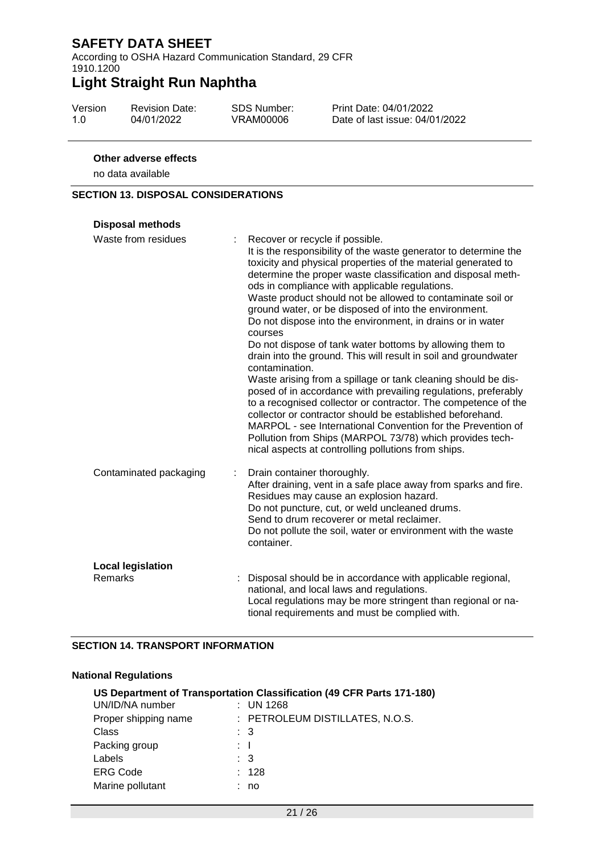According to OSHA Hazard Communication Standard, 29 CFR 1910.1200

# **Light Straight Run Naphtha**

| Version | <b>Revision Date:</b> | <b>SDS Number:</b> |
|---------|-----------------------|--------------------|
| 1.0     | 04/01/2022            | VRAM00006          |

Print Date: 04/01/2022 Date of last issue: 04/01/2022

#### **Other adverse effects**

no data available

#### **SECTION 13. DISPOSAL CONSIDERATIONS**

| <b>Disposal methods</b>  |                                                                                                                                                                                                                                                                                                                                                                                                                                                                                                                                                                                                                                                                                                                                                                                                                                                                                                                                                                                                                                                                                             |
|--------------------------|---------------------------------------------------------------------------------------------------------------------------------------------------------------------------------------------------------------------------------------------------------------------------------------------------------------------------------------------------------------------------------------------------------------------------------------------------------------------------------------------------------------------------------------------------------------------------------------------------------------------------------------------------------------------------------------------------------------------------------------------------------------------------------------------------------------------------------------------------------------------------------------------------------------------------------------------------------------------------------------------------------------------------------------------------------------------------------------------|
| Waste from residues      | Recover or recycle if possible.<br>It is the responsibility of the waste generator to determine the<br>toxicity and physical properties of the material generated to<br>determine the proper waste classification and disposal meth-<br>ods in compliance with applicable regulations.<br>Waste product should not be allowed to contaminate soil or<br>ground water, or be disposed of into the environment.<br>Do not dispose into the environment, in drains or in water<br>courses<br>Do not dispose of tank water bottoms by allowing them to<br>drain into the ground. This will result in soil and groundwater<br>contamination.<br>Waste arising from a spillage or tank cleaning should be dis-<br>posed of in accordance with prevailing regulations, preferably<br>to a recognised collector or contractor. The competence of the<br>collector or contractor should be established beforehand.<br>MARPOL - see International Convention for the Prevention of<br>Pollution from Ships (MARPOL 73/78) which provides tech-<br>nical aspects at controlling pollutions from ships. |
| Contaminated packaging   | Drain container thoroughly.<br>After draining, vent in a safe place away from sparks and fire.<br>Residues may cause an explosion hazard.<br>Do not puncture, cut, or weld uncleaned drums.<br>Send to drum recoverer or metal reclaimer.<br>Do not pollute the soil, water or environment with the waste<br>container.                                                                                                                                                                                                                                                                                                                                                                                                                                                                                                                                                                                                                                                                                                                                                                     |
| <b>Local legislation</b> |                                                                                                                                                                                                                                                                                                                                                                                                                                                                                                                                                                                                                                                                                                                                                                                                                                                                                                                                                                                                                                                                                             |
| <b>Remarks</b>           | Disposal should be in accordance with applicable regional,<br>national, and local laws and regulations.<br>Local regulations may be more stringent than regional or na-<br>tional requirements and must be complied with.                                                                                                                                                                                                                                                                                                                                                                                                                                                                                                                                                                                                                                                                                                                                                                                                                                                                   |

#### **SECTION 14. TRANSPORT INFORMATION**

#### **National Regulations**

| US Department of Transportation Classification (49 CFR Parts 171-180) |    |                                 |  |  |
|-----------------------------------------------------------------------|----|---------------------------------|--|--|
| UN/ID/NA number                                                       |    | $\therefore$ UN 1268            |  |  |
| Proper shipping name                                                  |    | : PETROLEUM DISTILLATES, N.O.S. |  |  |
| Class                                                                 |    | $\therefore$ 3                  |  |  |
| Packing group                                                         |    | : T                             |  |  |
| Labels                                                                |    | : 3                             |  |  |
| <b>ERG Code</b>                                                       | t. | 128                             |  |  |
| Marine pollutant                                                      |    | no                              |  |  |
|                                                                       |    |                                 |  |  |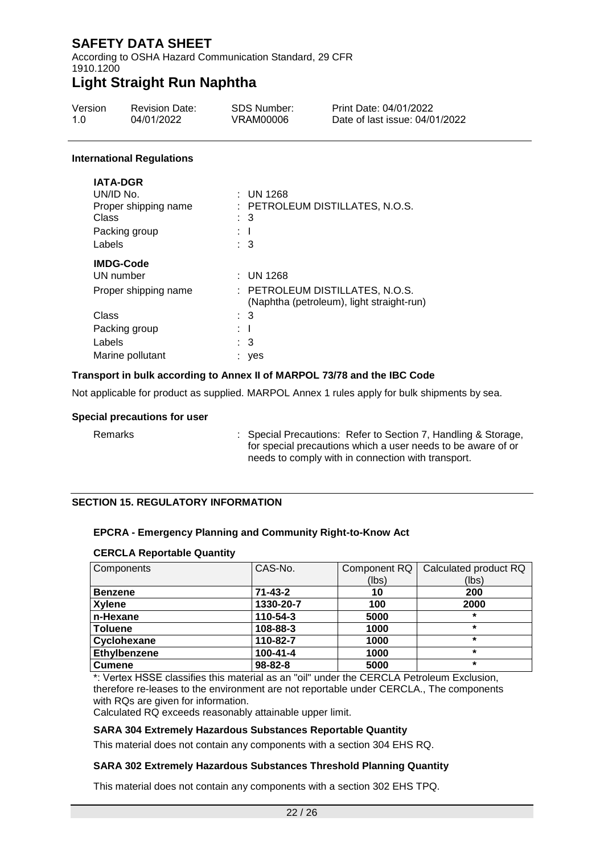According to OSHA Hazard Communication Standard, 29 CFR 1910.1200

### **Light Straight Run Naphtha**

| Version | <b>Revision Date:</b> | SDS Number: | Print Date: 04/01/2022         |
|---------|-----------------------|-------------|--------------------------------|
| 1 O     | 04/01/2022            | VRAM00006   | Date of last issue: 04/01/2022 |

#### **International Regulations**

| <b>IATA-DGR</b>      |                                                                              |
|----------------------|------------------------------------------------------------------------------|
| UN/ID No.            | $:$ UN 1268                                                                  |
| Proper shipping name | : PETROLEUM DISTILLATES, N.O.S.                                              |
| Class                | : 3                                                                          |
| Packing group        |                                                                              |
| Labels               | : 3                                                                          |
| <b>IMDG-Code</b>     |                                                                              |
| UN number            | $:$ UN 1268                                                                  |
| Proper shipping name | : PETROLEUM DISTILLATES, N.O.S.<br>(Naphtha (petroleum), light straight-run) |
| Class                | : 3                                                                          |
| Packing group        | -1                                                                           |
| Labels               | : 3                                                                          |
| Marine pollutant     | yes                                                                          |
|                      |                                                                              |

#### **Transport in bulk according to Annex II of MARPOL 73/78 and the IBC Code**

Not applicable for product as supplied. MARPOL Annex 1 rules apply for bulk shipments by sea.

#### **Special precautions for user**

Remarks : Special Precautions: Refer to Section 7, Handling & Storage, for special precautions which a user needs to be aware of or needs to comply with in connection with transport.

#### **SECTION 15. REGULATORY INFORMATION**

#### **EPCRA - Emergency Planning and Community Right-to-Know Act**

#### **CERCLA Reportable Quantity**

| Components          | CAS-No.        | Component RQ | Calculated product RQ |
|---------------------|----------------|--------------|-----------------------|
|                     |                | (lbs)        | (lbs)                 |
| <b>Benzene</b>      | $71 - 43 - 2$  | 10           | 200                   |
| <b>Xylene</b>       | 1330-20-7      | 100          | 2000                  |
| n-Hexane            | 110-54-3       | 5000         | $\star$               |
| <b>Toluene</b>      | 108-88-3       | 1000         | $\star$               |
| Cyclohexane         | 110-82-7       | 1000         | $\star$               |
| <b>Ethylbenzene</b> | $100 - 41 - 4$ | 1000         | $\star$               |
| <b>Cumene</b>       | $98 - 82 - 8$  | 5000         | $\star$               |

\*: Vertex HSSE classifies this material as an "oil" under the CERCLA Petroleum Exclusion, therefore re-leases to the environment are not reportable under CERCLA., The components with RQs are given for information.

Calculated RQ exceeds reasonably attainable upper limit.

#### **SARA 304 Extremely Hazardous Substances Reportable Quantity**

This material does not contain any components with a section 304 EHS RQ.

#### **SARA 302 Extremely Hazardous Substances Threshold Planning Quantity**

This material does not contain any components with a section 302 EHS TPQ.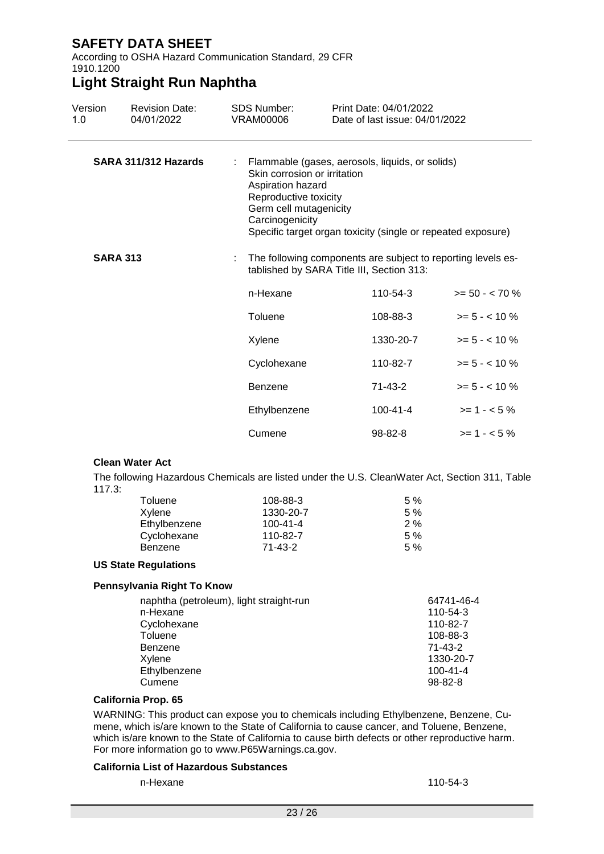According to OSHA Hazard Communication Standard, 29 CFR 1910.1200

### **Light Straight Run Naphtha**

| Version<br>1.0  | <b>Revision Date:</b><br>04/01/2022 | <b>SDS Number:</b><br><b>VRAM00006</b>                                                  | Print Date: 04/01/2022<br>Date of last issue: 04/01/2022                                                                                        |                  |
|-----------------|-------------------------------------|-----------------------------------------------------------------------------------------|-------------------------------------------------------------------------------------------------------------------------------------------------|------------------|
|                 | SARA 311/312 Hazards                | Aspiration hazard<br>Reproductive toxicity<br>Germ cell mutagenicity<br>Carcinogenicity | Flammable (gases, aerosols, liquids, or solids)<br>Skin corrosion or irritation<br>Specific target organ toxicity (single or repeated exposure) |                  |
| <b>SARA 313</b> |                                     |                                                                                         | : The following components are subject to reporting levels es-<br>tablished by SARA Title III, Section 313:                                     |                  |
|                 |                                     | n-Hexane                                                                                | 110-54-3                                                                                                                                        | $>= 50 - < 70 %$ |
|                 |                                     | Toluene                                                                                 | 108-88-3                                                                                                                                        | $>= 5 - < 10 \%$ |
|                 |                                     | Xylene                                                                                  | 1330-20-7                                                                                                                                       | $>= 5 - < 10 \%$ |
|                 |                                     | Cyclohexane                                                                             | 110-82-7                                                                                                                                        | $>= 5 - < 10 \%$ |
|                 |                                     | Benzene                                                                                 | $71 - 43 - 2$                                                                                                                                   | $>= 5 - < 10 \%$ |
|                 |                                     | Ethylbenzene                                                                            | $100 - 41 - 4$                                                                                                                                  | $>= 1 - 5\%$     |
|                 |                                     | Cumene                                                                                  | 98-82-8                                                                                                                                         | $>= 1 - 5\%$     |

#### **Clean Water Act**

The following Hazardous Chemicals are listed under the U.S. CleanWater Act, Section 311, Table 117.3:

| Toluene      | 108-88-3       | 5% |
|--------------|----------------|----|
| Xylene       | 1330-20-7      | 5% |
| Ethylbenzene | $100 - 41 - 4$ | 2% |
| Cyclohexane  | 110-82-7       | 5% |
| Benzene      | 71-43-2        | 5% |

#### **US State Regulations**

#### **Pennsylvania Right To Know**

| naphtha (petroleum), light straight-run | 64741-46-4     |
|-----------------------------------------|----------------|
| n-Hexane                                | 110-54-3       |
| Cyclohexane                             | 110-82-7       |
| Toluene                                 | 108-88-3       |
| Benzene                                 | $71 - 43 - 2$  |
| Xylene                                  | 1330-20-7      |
| Ethylbenzene                            | $100 - 41 - 4$ |
| Cumene                                  | $98 - 82 - 8$  |

#### **California Prop. 65**

WARNING: This product can expose you to chemicals including Ethylbenzene, Benzene, Cumene, which is/are known to the State of California to cause cancer, and Toluene, Benzene, which is/are known to the State of California to cause birth defects or other reproductive harm. For more information go to www.P65Warnings.ca.gov.

#### **California List of Hazardous Substances**

n-Hexane 110-54-3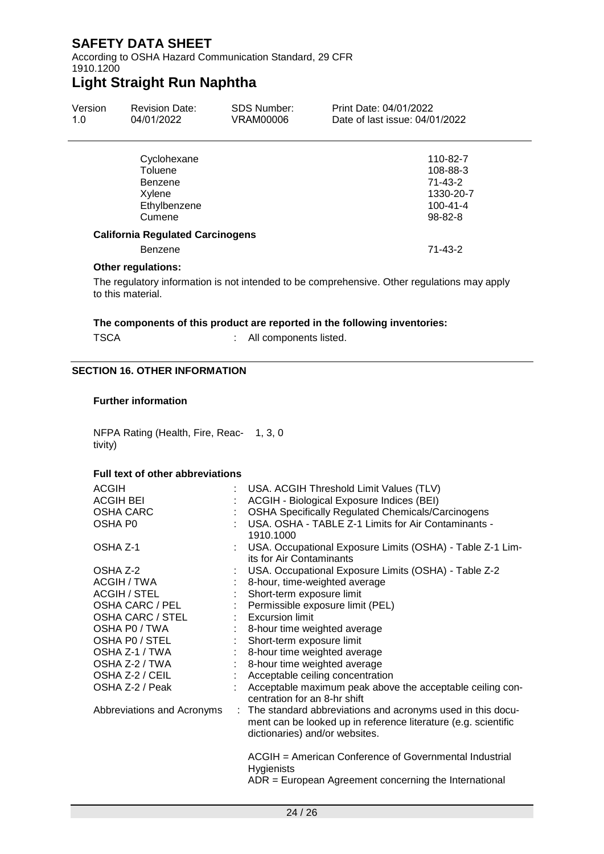According to OSHA Hazard Communication Standard, 29 CFR 1910.1200

## **Light Straight Run Naphtha**

| Version<br>1.0 | <b>Revision Date:</b><br>04/01/2022     | <b>SDS Number:</b><br>VRAM00006 | Print Date: 04/01/2022<br>Date of last issue: 04/01/2022 |  |
|----------------|-----------------------------------------|---------------------------------|----------------------------------------------------------|--|
|                | Cyclohexane                             |                                 | 110-82-7                                                 |  |
| Toluene        |                                         |                                 | 108-88-3                                                 |  |
|                | Benzene                                 |                                 | 71-43-2                                                  |  |
|                | Xylene                                  |                                 | 1330-20-7                                                |  |
|                | Ethylbenzene                            |                                 | $100 - 41 - 4$                                           |  |
|                | Cumene                                  |                                 | $98 - 82 - 8$                                            |  |
|                | <b>California Regulated Carcinogens</b> |                                 |                                                          |  |

#### **California Regulated Carcinogens**

Benzene 71-43-2

#### **Other regulations:**

The regulatory information is not intended to be comprehensive. Other regulations may apply to this material.

#### **The components of this product are reported in the following inventories:**

TSCA : All components listed.

#### **SECTION 16. OTHER INFORMATION**

#### **Further information**

NFPA Rating (Health, Fire, Reac-1, 3, 0 tivity)

#### **Full text of other abbreviations**

| <b>ACGIH</b><br><b>ACGIH BEI</b><br><b>OSHA CARC</b><br>OSHA P0 | USA. ACGIH Threshold Limit Values (TLV)<br>ACGIH - Biological Exposure Indices (BEI)<br><b>OSHA Specifically Regulated Chemicals/Carcinogens</b><br>USA. OSHA - TABLE Z-1 Limits for Air Contaminants -<br>1910.1000 |
|-----------------------------------------------------------------|----------------------------------------------------------------------------------------------------------------------------------------------------------------------------------------------------------------------|
| OSHA Z-1                                                        | USA. Occupational Exposure Limits (OSHA) - Table Z-1 Lim-<br>its for Air Contaminants                                                                                                                                |
| OSHA Z-2                                                        | USA. Occupational Exposure Limits (OSHA) - Table Z-2                                                                                                                                                                 |
| ACGIH / TWA                                                     | 8-hour, time-weighted average                                                                                                                                                                                        |
| ACGIH / STEL                                                    | Short-term exposure limit                                                                                                                                                                                            |
| OSHA CARC / PEL                                                 | : Permissible exposure limit (PEL)                                                                                                                                                                                   |
| <b>OSHA CARC / STEL</b>                                         | : Excursion limit                                                                                                                                                                                                    |
| OSHA PO / TWA                                                   | 8-hour time weighted average                                                                                                                                                                                         |
| OSHA PO / STEL                                                  | Short-term exposure limit                                                                                                                                                                                            |
| OSHA Z-1 / TWA                                                  | 8-hour time weighted average                                                                                                                                                                                         |
| OSHA Z-2 / TWA                                                  | 8-hour time weighted average                                                                                                                                                                                         |
| OSHA Z-2 / CEIL                                                 | Acceptable ceiling concentration                                                                                                                                                                                     |
| OSHA Z-2 / Peak                                                 | Acceptable maximum peak above the acceptable ceiling con-<br>centration for an 8-hr shift                                                                                                                            |
| Abbreviations and Acronyms                                      | : The standard abbreviations and acronyms used in this docu-<br>ment can be looked up in reference literature (e.g. scientific<br>dictionaries) and/or websites.                                                     |
|                                                                 | ACGIH = American Conference of Governmental Industrial<br><b>Hygienists</b><br>$ADR = European Agreement concerning the International$                                                                               |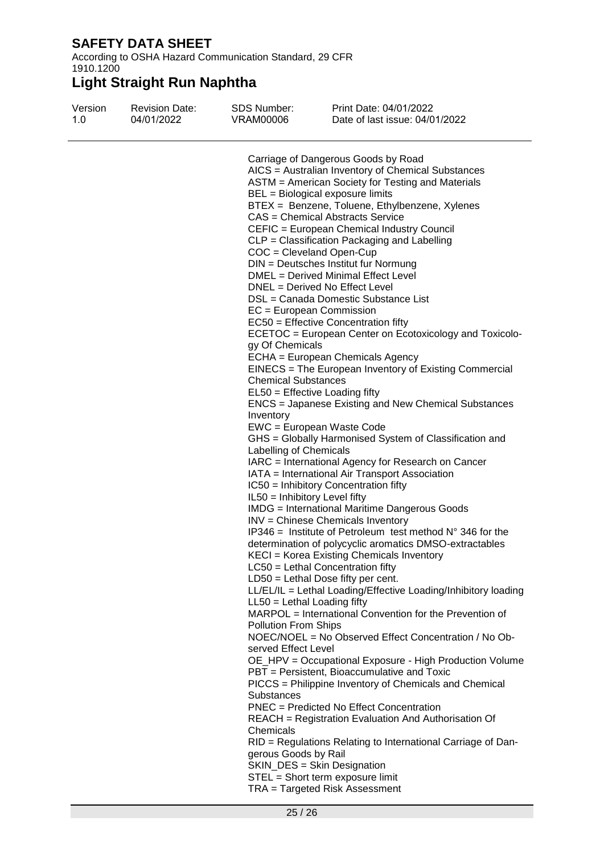According to OSHA Hazard Communication Standard, 29 CFR 1910.1200

| Version<br>1.0 | <b>Revision Date:</b><br>04/01/2022 | SDS Number:<br>VRAM00006                                                           | Print Date: 04/01/2022<br>Date of last issue: 04/01/2022                    |  |
|----------------|-------------------------------------|------------------------------------------------------------------------------------|-----------------------------------------------------------------------------|--|
|                |                                     |                                                                                    |                                                                             |  |
|                |                                     | Carriage of Dangerous Goods by Road                                                |                                                                             |  |
|                |                                     |                                                                                    | AICS = Australian Inventory of Chemical Substances                          |  |
|                |                                     |                                                                                    | ASTM = American Society for Testing and Materials                           |  |
|                |                                     |                                                                                    | BEL = Biological exposure limits                                            |  |
|                |                                     | BTEX = Benzene, Toluene, Ethylbenzene, Xylenes<br>CAS = Chemical Abstracts Service |                                                                             |  |
|                |                                     |                                                                                    |                                                                             |  |
|                |                                     |                                                                                    | CEFIC = European Chemical Industry Council                                  |  |
|                |                                     |                                                                                    | CLP = Classification Packaging and Labelling                                |  |
|                |                                     |                                                                                    | COC = Cleveland Open-Cup                                                    |  |
|                |                                     |                                                                                    | DIN = Deutsches Institut fur Normung<br>DMEL = Derived Minimal Effect Level |  |
|                |                                     |                                                                                    | DNEL = Derived No Effect Level                                              |  |
|                |                                     |                                                                                    | DSL = Canada Domestic Substance List                                        |  |
|                |                                     | EC = European Commission                                                           |                                                                             |  |
|                |                                     |                                                                                    | EC50 = Effective Concentration fifty                                        |  |
|                |                                     |                                                                                    | ECETOC = European Center on Ecotoxicology and Toxicolo-                     |  |
|                |                                     | gy Of Chemicals                                                                    |                                                                             |  |
|                |                                     |                                                                                    | ECHA = European Chemicals Agency                                            |  |
|                |                                     |                                                                                    | EINECS = The European Inventory of Existing Commercial                      |  |
|                |                                     | <b>Chemical Substances</b>                                                         |                                                                             |  |
|                |                                     |                                                                                    | EL50 = Effective Loading fifty                                              |  |
|                |                                     |                                                                                    | <b>ENCS</b> = Japanese Existing and New Chemical Substances                 |  |
|                |                                     | Inventory                                                                          |                                                                             |  |
|                |                                     |                                                                                    | EWC = European Waste Code                                                   |  |
|                |                                     |                                                                                    | GHS = Globally Harmonised System of Classification and                      |  |
|                |                                     | Labelling of Chemicals                                                             |                                                                             |  |
|                |                                     |                                                                                    | IARC = International Agency for Research on Cancer                          |  |
|                |                                     |                                                                                    | IATA = International Air Transport Association                              |  |
|                |                                     |                                                                                    | IC50 = Inhibitory Concentration fifty                                       |  |
|                |                                     | IL50 = Inhibitory Level fifty                                                      |                                                                             |  |
|                |                                     |                                                                                    | <b>IMDG</b> = International Maritime Dangerous Goods                        |  |
|                |                                     |                                                                                    | INV = Chinese Chemicals Inventory                                           |  |
|                |                                     |                                                                                    | IP346 = Institute of Petroleum test method $N^{\circ}$ 346 for the          |  |
|                |                                     |                                                                                    | determination of polycyclic aromatics DMSO-extractables                     |  |
|                |                                     |                                                                                    | KECI = Korea Existing Chemicals Inventory                                   |  |
|                |                                     |                                                                                    | $LC50$ = Lethal Concentration fifty                                         |  |
|                |                                     |                                                                                    | $LD50 = Lethal Does fifty per cent.$                                        |  |
|                |                                     |                                                                                    | LL/EL/IL = Lethal Loading/Effective Loading/Inhibitory loading              |  |
|                |                                     | $LL50 = Lethal$ Loading fifty                                                      | MARPOL = International Convention for the Prevention of                     |  |
|                |                                     | <b>Pollution From Ships</b>                                                        |                                                                             |  |
|                |                                     |                                                                                    | NOEC/NOEL = No Observed Effect Concentration / No Ob-                       |  |
|                |                                     | served Effect Level                                                                |                                                                             |  |
|                |                                     |                                                                                    | OE_HPV = Occupational Exposure - High Production Volume                     |  |
|                |                                     |                                                                                    | PBT = Persistent, Bioaccumulative and Toxic                                 |  |
|                |                                     |                                                                                    | PICCS = Philippine Inventory of Chemicals and Chemical                      |  |
|                |                                     | <b>Substances</b>                                                                  |                                                                             |  |
|                |                                     |                                                                                    | <b>PNEC</b> = Predicted No Effect Concentration                             |  |
|                |                                     |                                                                                    | REACH = Registration Evaluation And Authorisation Of                        |  |
|                |                                     | Chemicals                                                                          |                                                                             |  |
|                |                                     |                                                                                    | RID = Regulations Relating to International Carriage of Dan-                |  |
|                |                                     | gerous Goods by Rail                                                               |                                                                             |  |
|                |                                     |                                                                                    | SKIN_DES = Skin Designation                                                 |  |
|                |                                     |                                                                                    | STEL = Short term exposure limit                                            |  |
|                |                                     |                                                                                    | TRA = Targeted Risk Assessment                                              |  |